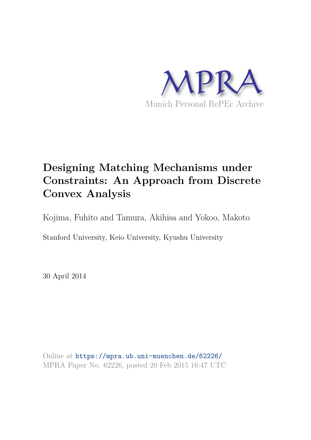

# **Designing Matching Mechanisms under Constraints: An Approach from Discrete Convex Analysis**

Kojima, Fuhito and Tamura, Akihisa and Yokoo, Makoto

Stanford University, Keio University, Kyushu University

30 April 2014

Online at https://mpra.ub.uni-muenchen.de/62226/ MPRA Paper No. 62226, posted 20 Feb 2015 16:47 UTC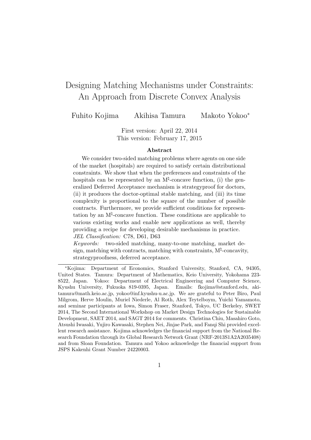## Designing Matching Mechanisms under Constraints: An Approach from Discrete Convex Analysis

Fuhito Kojima Akihisa Tamura Makoto Yokoo<sup>∗</sup>

First version: April 22, 2014 This version: February 17, 2015

#### Abstract

We consider two-sided matching problems where agents on one side of the market (hospitals) are required to satisfy certain distributional constraints. We show that when the preferences and constraints of the hospitals can be represented by an  $M^{\sharp}$ -concave function, (i) the generalized Deferred Acceptance mechanism is strategyproof for doctors, (ii) it produces the doctor-optimal stable matching, and (iii) its time complexity is proportional to the square of the number of possible contracts. Furthermore, we provide sufficient conditions for representation by an  $M^{\natural}$ -concave function. These conditions are applicable to various existing works and enable new applications as well, thereby providing a recipe for developing desirable mechanisms in practice. JEL Classification: C78, D61, D63

Keywords: two-sided matching, many-to-one matching, market design, matching with contracts, matching with constraints,  $M^{\natural}$ -concavity, strategyproofness, deferred acceptance.

<sup>∗</sup>Kojima: Department of Economics, Stanford University, Stanford, CA, 94305, United States. Tamura: Department of Mathematics, Keio University, Yokohama 223- 8522, Japan. Yokoo: Department of Electrical Engineering and Computer Science, Kyushu University, Fukuoka 819-0395, Japan. Emails: fkojima@stanford.edu, akitamura@math.keio.ac.jp, yokoo@inf.kyushu-u.ac.jp. We are grateful to Peter Biro, Paul Milgrom, Herve Moulin, Muriel Niederle, Al Roth, Alex Teytelboym, Yuichi Yamamoto, and seminar participants at Iowa, Simon Fraser, Stanford, Tokyo, UC Berkeley, SWET 2014, The Second International Workshop on Market Design Technologies for Sustainable Development, SAET 2014, and SAGT 2014 for comments. Christina Chiu, Masahiro Goto, Atsushi Iwasaki, Yujiro Kawasaki, Stephen Nei, Jinjae Park, and Fanqi Shi provided excellent research assistance. Kojima acknowledges the financial support from the National Research Foundation through its Global Research Network Grant (NRF-2013S1A2A2035408) and from Sloan Foundation. Tamura and Yokoo acknowledge the financial support from JSPS Kakenhi Grant Number 24220003.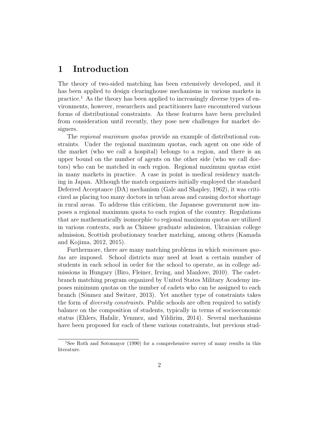## 1 Introduction

The theory of two-sided matching has been extensively developed, and it has been applied to design clearinghouse mechanisms in various markets in practice.<sup>1</sup> As the theory has been applied to increasingly diverse types of environments, however, researchers and practitioners have encountered various forms of distributional constraints. As these features have been precluded from consideration until recently, they pose new challenges for market designers.

The regional maximum quotas provide an example of distributional constraints. Under the regional maximum quotas, each agent on one side of the market (who we call a hospital) belongs to a region, and there is an upper bound on the number of agents on the other side (who we call doctors) who can be matched in each region. Regional maximum quotas exist in many markets in practice. A case in point is medical residency matching in Japan. Although the match organizers initially employed the standard Deferred Acceptance (DA) mechanism (Gale and Shapley, 1962), it was criticized as placing too many doctors in urban areas and causing doctor shortage in rural areas. To address this criticism, the Japanese government now imposes a regional maximum quota to each region of the country. Regulations that are mathematically isomorphic to regional maximum quotas are utilized in various contexts, such as Chinese graduate admission, Ukrainian college admission, Scottish probationary teacher matching, among others (Kamada and Kojima, 2012, 2015).

Furthermore, there are many matching problems in which *minimum quo*tas are imposed. School districts may need at least a certain number of students in each school in order for the school to operate, as in college admissions in Hungary (Biro, Fleiner, Irving, and Manlove, 2010). The cadetbranch matching program organized by United States Military Academy imposes minimum quotas on the number of cadets who can be assigned to each branch (Sönmez and Switzer, 2013). Yet another type of constraints takes the form of *diversity constraints*. Public schools are often required to satisfy balance on the composition of students, typically in terms of socioeconomic status (Ehlers, Hafalir, Yenmez, and Yildirim, 2014). Several mechanisms have been proposed for each of these various constraints, but previous stud-

<sup>&</sup>lt;sup>1</sup>See Roth and Sotomayor (1990) for a comprehensive survey of many results in this literature.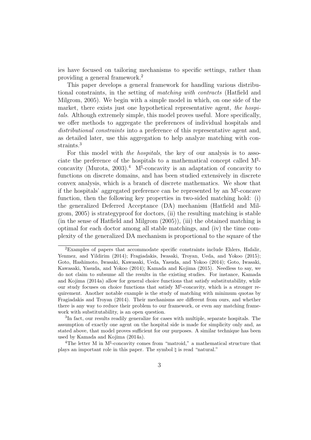ies have focused on tailoring mechanisms to specific settings, rather than providing a general framework.<sup>2</sup>

This paper develops a general framework for handling various distributional constraints, in the setting of matching with contracts (Hatfield and Milgrom, 2005). We begin with a simple model in which, on one side of the market, there exists just one hypothetical representative agent, the hospitals. Although extremely simple, this model proves useful. More specifically, we offer methods to aggregate the preferences of individual hospitals and distributional constraints into a preference of this representative agent and, as detailed later, use this aggregation to help analyze matching with constraints.<sup>3</sup>

For this model with the hospitals, the key of our analysis is to associate the preference of the hospitals to a mathematical concept called M<sup>t</sup>concavity (Murota, 2003).<sup>4</sup> M<sup> $\sharp$ </sup>-concavity is an adaptation of concavity to functions on discrete domains, and has been studied extensively in discrete convex analysis, which is a branch of discrete mathematics. We show that if the hospitals' aggregated preference can be represented by an M♮ -concave function, then the following key properties in two-sided matching hold: (i) the generalized Deferred Acceptance (DA) mechanism (Hatfield and Milgrom, 2005) is strategyproof for doctors, (ii) the resulting matching is stable (in the sense of Hatfield and Milgrom (2005)), (iii) the obtained matching is optimal for each doctor among all stable matchings, and (iv) the time complexity of the generalized DA mechanism is proportional to the square of the

<sup>2</sup>Examples of papers that accommodate specific constraints include Ehlers, Hafalir, Yenmez, and Yildirim (2014); Fragiadakis, Iwasaki, Troyan, Ueda, and Yokoo (2015); Goto, Hashimoto, Iwasaki, Kawasaki, Ueda, Yasuda, and Yokoo (2014); Goto, Iwasaki, Kawasaki, Yasuda, and Yokoo (2014); Kamada and Kojima (2015). Needless to say, we do not claim to subsume all the results in the existing studies. For instance, Kamada and Kojima (2014a) allow for general choice functions that satisfy substitutability, while our study focuses on choice functions that satisfy  $M^{\sharp}$ -concavity, which is a stronger requirement. Another notable example is the study of matching with minimum quotas by Fragiadakis and Troyan (2014). Their mechanisms are different from ours, and whether there is any way to reduce their problem to our framework, or even any matching framework with substitutability, is an open question.

<sup>&</sup>lt;sup>3</sup>In fact, our results readily generalize for cases with multiple, separate hospitals. The assumption of exactly one agent on the hospital side is made for simplicity only and, as stated above, that model proves sufficient for our purposes. A similar technique has been used by Kamada and Kojima (2014a).

<sup>&</sup>lt;sup>4</sup>The letter M in  $M^{\natural}$ -concavity comes from "matroid," a mathematical structure that plays an important role in this paper. The symbol ♮ is read "natural."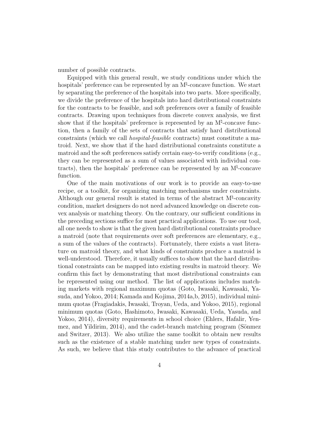number of possible contracts.

Equipped with this general result, we study conditions under which the hospitals' preference can be represented by an M<sup>‡</sup>-concave function. We start by separating the preference of the hospitals into two parts. More specifically, we divide the preference of the hospitals into hard distributional constraints for the contracts to be feasible, and soft preferences over a family of feasible contracts. Drawing upon techniques from discrete convex analysis, we first show that if the hospitals' preference is represented by an  $M^{\natural}$ -concave function, then a family of the sets of contracts that satisfy hard distributional constraints (which we call hospital-feasible contracts) must constitute a matroid. Next, we show that if the hard distributional constraints constitute a matroid and the soft preferences satisfy certain easy-to-verify conditions (e.g., they can be represented as a sum of values associated with individual contracts), then the hospitals' preference can be represented by an  $M^{\natural}$ -concave function.

One of the main motivations of our work is to provide an easy-to-use recipe, or a toolkit, for organizing matching mechanisms under constraints. Although our general result is stated in terms of the abstract  $M^{\natural}$ -concavity condition, market designers do not need advanced knowledge on discrete convex analysis or matching theory. On the contrary, our sufficient conditions in the preceding sections suffice for most practical applications. To use our tool, all one needs to show is that the given hard distributional constraints produce a matroid (note that requirements over soft preferences are elementary, e.g., a sum of the values of the contracts). Fortunately, there exists a vast literature on matroid theory, and what kinds of constraints produce a matroid is well-understood. Therefore, it usually suffices to show that the hard distributional constraints can be mapped into existing results in matroid theory. We confirm this fact by demonstrating that most distributional constraints can be represented using our method. The list of applications includes matching markets with regional maximum quotas (Goto, Iwasaki, Kawasaki, Yasuda, and Yokoo, 2014; Kamada and Kojima, 2014a,b, 2015), individual minimum quotas (Fragiadakis, Iwasaki, Troyan, Ueda, and Yokoo, 2015), regional minimum quotas (Goto, Hashimoto, Iwasaki, Kawasaki, Ueda, Yasuda, and Yokoo, 2014), diversity requirements in school choice (Ehlers, Hafalir, Yenmez, and Yildirim,  $2014$ ), and the cadet-branch matching program (Sönmez and Switzer, 2013). We also utilize the same toolkit to obtain new results such as the existence of a stable matching under new types of constraints. As such, we believe that this study contributes to the advance of practical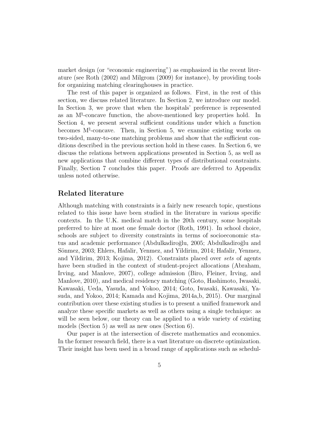market design (or "economic engineering") as emphasized in the recent literature (see Roth (2002) and Milgrom (2009) for instance), by providing tools for organizing matching clearinghouses in practice.

The rest of this paper is organized as follows. First, in the rest of this section, we discuss related literature. In Section 2, we introduce our model. In Section 3, we prove that when the hospitals' preference is represented as an M<sup><sup>†</sup>-concave function, the above-mentioned key properties hold. In</sup> Section 4, we present several sufficient conditions under which a function becomes  $M^{\natural}$ -concave. Then, in Section 5, we examine existing works on two-sided, many-to-one matching problems and show that the sufficient conditions described in the previous section hold in these cases. In Section 6, we discuss the relations between applications presented in Section 5, as well as new applications that combine different types of distributional constraints. Finally, Section 7 concludes this paper. Proofs are deferred to Appendix unless noted otherwise.

### Related literature

Although matching with constraints is a fairly new research topic, questions related to this issue have been studied in the literature in various specific contexts. In the U.K. medical match in the 20th century, some hospitals preferred to hire at most one female doctor (Roth, 1991). In school choice, schools are subject to diversity constraints in terms of socioeconomic status and academic performance (Abdulkadiroğlu, 2005; Abdulkadiroğlu and Sönmez, 2003; Ehlers, Hafalir, Yenmez, and Yildirim, 2014; Hafalir, Yenmez, and Yildirim, 2013; Kojima, 2012). Constraints placed over sets of agents have been studied in the context of student-project allocations (Abraham, Irving, and Manlove, 2007), college admission (Biro, Fleiner, Irving, and Manlove, 2010), and medical residency matching (Goto, Hashimoto, Iwasaki, Kawasaki, Ueda, Yasuda, and Yokoo, 2014; Goto, Iwasaki, Kawasaki, Yasuda, and Yokoo, 2014; Kamada and Kojima, 2014a,b, 2015). Our marginal contribution over these existing studies is to present a unified framework and analyze these specific markets as well as others using a single technique: as will be seen below, our theory can be applied to a wide variety of existing models (Section 5) as well as new ones (Section 6).

Our paper is at the intersection of discrete mathematics and economics. In the former research field, there is a vast literature on discrete optimization. Their insight has been used in a broad range of applications such as schedul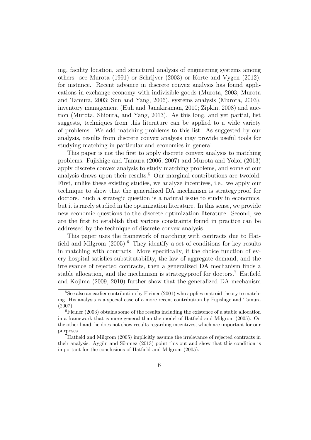ing, facility location, and structural analysis of engineering systems among others: see Murota (1991) or Schrijver (2003) or Korte and Vygen (2012), for instance. Recent advance in discrete convex analysis has found applications in exchange economy with indivisible goods (Murota, 2003; Murota and Tamura, 2003; Sun and Yang, 2006), systems analysis (Murota, 2003), inventory management (Huh and Janakiraman, 2010; Zipkin, 2008) and auction (Murota, Shioura, and Yang, 2013). As this long, and yet partial, list suggests, techniques from this literature can be applied to a wide variety of problems. We add matching problems to this list. As suggested by our analysis, results from discrete convex analysis may provide useful tools for studying matching in particular and economics in general.

This paper is not the first to apply discrete convex analysis to matching problems. Fujishige and Tamura (2006, 2007) and Murota and Yokoi (2013) apply discrete convex analysis to study matching problems, and some of our analysis draws upon their results.<sup>5</sup> Our marginal contributions are twofold. First, unlike these existing studies, we analyze incentives, i.e., we apply our technique to show that the generalized DA mechanism is strategyproof for doctors. Such a strategic question is a natural issue to study in economics, but it is rarely studied in the optimization literature. In this sense, we provide new economic questions to the discrete optimization literature. Second, we are the first to establish that various constraints found in practice can be addressed by the technique of discrete convex analysis.

This paper uses the framework of matching with contracts due to Hatfield and Milgrom  $(2005)$ .<sup>6</sup> They identify a set of conditions for key results in matching with contracts. More specifically, if the choice function of every hospital satisfies substitutability, the law of aggregate demand, and the irrelevance of rejected contracts, then a generalized DA mechanism finds a stable allocation, and the mechanism is strategyproof for doctors.<sup>7</sup> Hatfield and Kojima (2009, 2010) further show that the generalized DA mechanism

<sup>&</sup>lt;sup>5</sup>See also an earlier contribution by Fleiner (2001) who applies matroid theory to matching. His analysis is a special case of a more recent contribution by Fujishige and Tamura (2007).

 ${}^{6}$ Fleiner (2003) obtains some of the results including the existence of a stable allocation in a framework that is more general than the model of Hatfield and Milgrom (2005). On the other hand, he does not show results regarding incentives, which are important for our purposes.

<sup>7</sup>Hatfield and Milgrom (2005) implicitly assume the irrelevance of rejected contracts in their analysis. Aygün and Sönmez  $(2013)$  point this out and show that this condition is important for the conclusions of Hatfield and Milgrom (2005).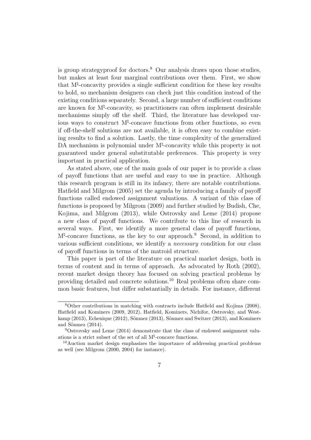is group strategyproof for doctors.<sup>8</sup> Our analysis draws upon those studies, but makes at least four marginal contributions over them. First, we show that  $M^{\natural}$ -concavity provides a single sufficient condition for these key results to hold, so mechanism designers can check just this condition instead of the existing conditions separately. Second, a large number of sufficient conditions are known for M♮ -concavity, so practitioners can often implement desirable mechanisms simply off the shelf. Third, the literature has developed various ways to construct  $M^{\natural}$ -concave functions from other functions, so even if off-the-shelf solutions are not available, it is often easy to combine existing results to find a solution. Lastly, the time complexity of the generalized DA mechanism is polynomial under M<sup>†</sup>-concavity while this property is not guaranteed under general substitutable preferences. This property is very important in practical application.

As stated above, one of the main goals of our paper is to provide a class of payoff functions that are useful and easy to use in practice. Although this research program is still in its infancy, there are notable contributions. Hatfield and Milgrom (2005) set the agenda by introducing a family of payoff functions called endowed assignment valuations. A variant of this class of functions is proposed by Milgrom (2009) and further studied by Budish, Che, Kojima, and Milgrom (2013), while Ostrovsky and Leme (2014) propose a new class of payoff functions. We contribute to this line of research in several ways. First, we identify a more general class of payoff functions, M<sup>\plert</sup>-concave functions, as the key to our approach.<sup>9</sup> Second, in addition to various sufficient conditions, we identify a necessary condition for our class of payoff functions in terms of the matroid structure.

This paper is part of the literature on practical market design, both in terms of content and in terms of approach. As advocated by Roth (2002), recent market design theory has focused on solving practical problems by providing detailed and concrete solutions.<sup>10</sup> Real problems often share common basic features, but differ substantially in details. For instance, different

<sup>8</sup>Other contributions in matching with contracts include Hatfield and Kojima (2008), Hatfield and Kominers (2009, 2012), Hatfield, Kominers, Nichifor, Ostrovsky, and Westkamp (2013), Echenique (2012), Sönmez (2013), Sönmez and Switzer (2013), and Kominers and Sönmez  $(2014)$ .

<sup>9</sup>Ostrovsky and Leme (2014) demonstrate that the class of endowed assignment valuations is a strict subset of the set of all  $M^{\natural}$ -concave functions.

<sup>10</sup>Auction market design emphasizes the importance of addressing practical problems as well (see Milgrom (2000, 2004) for instance).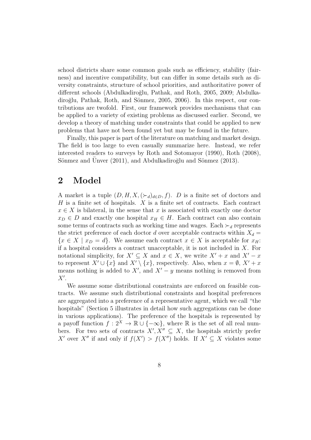school districts share some common goals such as efficiency, stability (fairness) and incentive compatibility, but can differ in some details such as diversity constraints, structure of school priorities, and authoritative power of different schools (Abdulkadiroğlu, Pathak, and Roth, 2005, 2009; Abdulkadiroğlu, Pathak, Roth, and Sönmez, 2005, 2006). In this respect, our contributions are twofold. First, our framework provides mechanisms that can be applied to a variety of existing problems as discussed earlier. Second, we develop a theory of matching under constraints that could be applied to new problems that have not been found yet but may be found in the future.

Finally, this paper is part of the literature on matching and market design. The field is too large to even casually summarize here. Instead, we refer interested readers to surveys by Roth and Sotomayor (1990), Roth (2008), Sönmez and Unver  $(2011)$ , and Abdulkadiroğlu and Sönmez  $(2013)$ .

### 2 Model

A market is a tuple  $(D, H, X, (\succ_d)_{d \in D}, f)$ . D is a finite set of doctors and  $H$  is a finite set of hospitals.  $X$  is a finite set of contracts. Each contract  $x \in X$  is bilateral, in the sense that x is associated with exactly one doctor  $x_D \in D$  and exactly one hospital  $x_H \in H$ . Each contract can also contain some terms of contracts such as working time and wages. Each  $\succ_d$  represents the strict preference of each doctor d over acceptable contracts within  $X_d =$  ${x \in X \mid x_D = d}$ . We assume each contract  $x \in X$  is acceptable for  $x_H$ : if a hospital considers a contract unacceptable, it is not included in X. For notational simplicity, for  $X' \subseteq X$  and  $x \in X$ , we write  $X' + x$  and  $X' - x$ to represent  $X' \cup \{x\}$  and  $X' \setminus \{x\}$ , respectively. Also, when  $x = \emptyset$ ,  $X' + x$ means nothing is added to  $X'$ , and  $X' - y$  means nothing is removed from  $X^{\prime}$ .

We assume some distributional constraints are enforced on feasible contracts. We assume such distributional constraints and hospital preferences are aggregated into a preference of a representative agent, which we call "the hospitals" (Section 5 illustrates in detail how such aggregations can be done in various applications). The preference of the hospitals is represented by a payoff function  $f: 2^X \to \mathbb{R} \cup \{-\infty\}$ , where  $\mathbb R$  is the set of all real numbers. For two sets of contracts  $X', X'' \subseteq X$ , the hospitals strictly prefer X' over X'' if and only if  $f(X') > f(X'')$  holds. If  $X' \subseteq X$  violates some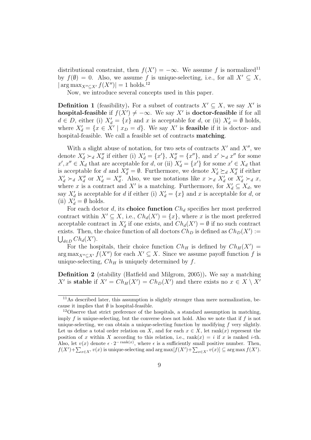distributional constraint, then  $f(X') = -\infty$ . We assume f is normalized<sup>11</sup> by  $f(\emptyset) = 0$ . Also, we assume f is unique-selecting, i.e., for all  $X' \subseteq X$ ,  $|\arg \max_{X'' \subset X'} f(X'')| = 1$  holds.<sup>12</sup>

Now, we introduce several concepts used in this paper.

**Definition 1** (feasibility). For a subset of contracts  $X' \subseteq X$ , we say X' is hospital-feasible if  $f(X') \neq -\infty$ . We say X' is doctor-feasible if for all  $d \in D$ , either (i)  $X'_d = \{x\}$  and x is acceptable for d, or (ii)  $X'_d = \emptyset$  holds, where  $X'_d = \{x \in X' \mid x_D = d\}$ . We say X' is **feasible** if it is doctor- and hospital-feasible. We call a feasible set of contracts matching.

With a slight abuse of notation, for two sets of contracts  $X'$  and  $X''$ , we denote  $X'_d \succ_d X''_d$  if either (i)  $X'_d = \{x'\}, X''_d = \{x''\}, \text{ and } x' \succ_d x'' \text{ for some }$  $x', x'' \in X_d$  that are acceptable for d, or (ii)  $X'_d = \{x'\}$  for some  $x' \in X_d$  that is acceptable for d and  $X''_d = \emptyset$ . Furthermore, we denote  $X'_d \succeq_d X''_d$  if either  $X'_d \succ_d X''_d$  or  $X'_d = X''_d$ . Also, we use notations like  $x \succ_d X'_d$  or  $X'_d \succ_d x$ , where x is a contract and X' is a matching. Furthermore, for  $X'_d \subseteq X_d$ , we say  $X'_d$  is acceptable for d if either (i)  $X'_d = \{x\}$  and x is acceptable for d, or (ii)  $X'_d = \emptyset$  holds.

For each doctor d, its choice function  $Ch_d$  specifies her most preferred contract within  $X' \subseteq X$ , i.e.,  $Ch_d(X') = \{x\}$ , where x is the most preferred acceptable contract in  $X'_d$  if one exists, and  $Ch_d(X') = \emptyset$  if no such contract exists. Then, the choice function of all doctors  $Ch_D$  is defined as  $Ch_D(X') :=$  $\bigcup_{d\in D} Ch_d(X').$ 

For the hospitals, their choice function  $Ch_H$  is defined by  $Ch_H(X') =$  $\arg \max_{X'' \subseteq X'} f(X'')$  for each  $X' \subseteq X$ . Since we assume payoff function f is unique-selecting,  $Ch_H$  is uniquely determined by f.

Definition 2 (stability (Hatfield and Milgrom, 2005)). We say a matching X' is stable if  $X' = Ch_H(X') = Ch_D(X')$  and there exists no  $x \in X \setminus X'$ 

<sup>11</sup>As described later, this assumption is slightly stronger than mere normalization, because it implies that  $\emptyset$  is hospital-feasible.

<sup>&</sup>lt;sup>12</sup>Observe that strict preference of the hospitals, a standard assumption in matching, imply f is unique-selecting, but the converse does not hold. Also we note that if f is not unique-selecting, we can obtain a unique-selecting function by modifying  $f$  very slightly. Let us define a total order relation on X, and for each  $x \in X$ , let rank $(x)$  represent the position of x within X according to this relation, i.e., rank(x) = i if x is ranked i-th. Also, let  $v(x)$  denote  $\epsilon \cdot 2^{-\operatorname{rank}(x)}$ , where  $\epsilon$  is a sufficiently small positive number. Then,  $f(X') + \sum_{x \in X'} v(x)$  is unique-selecting and  $\arg \max [f(X') + \sum_{x \in X'} v(x)] \subseteq \arg \max f(X')$ .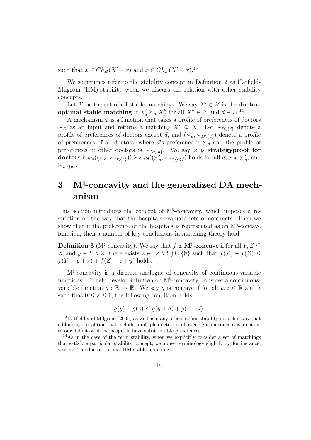such that  $x \in Ch_H(X' + x)$  and  $x \in Ch_D(X' + x)$ .<sup>13</sup>

We sometimes refer to the stability concept in Definition 2 as Hatfield-Milgrom (HM)-stability when we discuss the relation with other stability concepts.

Let X be the set of all stable matchings. We say  $X' \in \mathcal{X}$  is the **doctor**optimal stable matching if  $X'_d \succeq_d X''_d$  for all  $X'' \in \mathcal{X}$  and  $d \in D$ .<sup>14</sup>

A mechanism  $\varphi$  is a function that takes a profile of preferences of doctors  $\succ_D$  as an input and returns a matching  $X' \subseteq X$ . Let  $\succ_{D\setminus\{d\}}$  denote a profile of preferences of doctors except d, and  $(\succ_d, \succ_{D\setminus\{d\}})$  denote a profile of preferences of all doctors, where d's preference is  $\succ_d$  and the profile of preferences of other doctors is  $\succ_{D\setminus\{d\}}$ . We say  $\varphi$  is **strategyproof for** doctors if  $\varphi_d((\succ_d, \succ_{D\setminus\{d\}})) \succeq_d \varphi_d((\succ'_d, \succ_{D\setminus\{d\}}))$  holds for all  $d, \succ_d, \succ'_d$ , and  $\succeq_{D\setminus\{d\}}$ .

## 3 M<sup>t</sup>-concavity and the generalized DA mechanism

This section introduces the concept of  $M^{\natural}$ -concavity, which imposes a restriction on the way that the hospitals evaluate sets of contracts. Then we show that if the preference of the hospitals is represented as an  $M^{\natural}$ -concave function, then a number of key conclusions in matching theory hold.

**Definition 3** (M<sup>†</sup>-concavity). We say that f is  $M^{\sharp}$ -concave if for all  $Y, Z \subseteq$ X and  $y \in Y \setminus Z$ , there exists  $z \in (Z \setminus Y) \cup \{\emptyset\}$  such that  $f(Y) + f(Z) \leq$  $f(Y - y + z) + f(Z - z + y)$  holds.

M♮ -concavity is a discrete analogue of concavity of continuous-variable functions. To help develop intuition on M<sup><sup>†</sup>-concavity, consider a continuous-</sup> variable function  $g : \mathbb{R} \to \mathbb{R}$ . We say g is concave if for all  $y, z \in \mathbb{R}$  and  $\lambda$ such that  $0 \leq \lambda \leq 1$ , the following condition holds:

$$
g(y) + g(z) \le g(y + d) + g(z - d),
$$

<sup>&</sup>lt;sup>13</sup>Hatfield and Milgrom (2005) as well as many others define stability in such a way that a block by a coalition that includes multiple doctors is allowed. Such a concept is identical to our definition if the hospitals have substitutable preferences.

<sup>&</sup>lt;sup>14</sup>As in the case of the term stability, when we explicitly consider a set of matchings that satisfy a particular stability concept, we abuse terminology slightly by, for instance, writing "the doctor-optimal HM-stable matching."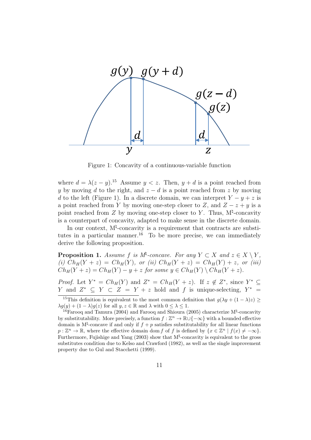

Figure 1: Concavity of a continuous-variable function

where  $d = \lambda(z - y)^{15}$  Assume  $y < z$ . Then,  $y + d$  is a point reached from y by moving d to the right, and  $z - d$  is a point reached from z by moving d to the left (Figure 1). In a discrete domain, we can interpret  $Y - y + z$  is a point reached from Y by moving one-step closer to Z, and  $Z - z + y$  is a point reached from Z by moving one-step closer to Y. Thus,  $M^{\natural}$ -concavity is a counterpart of concavity, adapted to make sense in the discrete domain.

In our context,  $M^{\natural}$ -concavity is a requirement that contracts are substitutes in a particular manner.<sup>16</sup> To be more precise, we can immediately derive the following proposition.

**Proposition 1.** Assume f is  $M^{\sharp}$ -concave. For any  $Y \subset X$  and  $z \in X \setminus Y$ , (i)  $Ch_H(Y + z) = Ch_H(Y)$ , or (ii)  $Ch_H(Y + z) = Ch_H(Y) + z$ , or (iii)  $Ch_H(Y + z) = Ch_H(Y) - y + z$  for some  $y \in Ch_H(Y) \setminus Ch_H(Y + z)$ .

*Proof.* Let  $Y^* = Ch_H(Y)$  and  $Z^* = Ch_H(Y + z)$ . If  $z \notin Z^*$ , since  $Y^* \subseteq$ *Y* and  $Z^*$  ⊆ *Y* ⊂ *Z* = *Y* + *z* hold and *f* is unique-selecting,  $Y^*$  =

<sup>&</sup>lt;sup>15</sup>This definition is equivalent to the most common definition that  $g(\lambda y + (1 - \lambda)z) \ge$  $\lambda g(y) + (1 - \lambda)g(z)$  for all  $y, z \in \mathbb{R}$  and  $\lambda$  with  $0 \leq \lambda \leq 1$ .

<sup>&</sup>lt;sup>16</sup> Farooq and Tamura (2004) and Farooq and Shioura (2005) characterize  $M^{\sharp}$ -concavity by substitutability. More precisely, a function  $f : \mathbb{Z}^n \to \mathbb{R} \cup \{-\infty\}$  with a bounded effective domain is  $M^{\natural}$ -concave if and only if  $f + p$  satisfies substitutability for all linear functions  $p: \mathbb{Z}^n \to \mathbb{R}$ , where the effective domain dom f of f is defined by  $\{x \in \mathbb{Z}^n \mid f(x) \neq -\infty\}$ . Furthermore, Fujishige and Yang  $(2003)$  show that  $M^{\natural}$ -concavity is equivalent to the gross substitutes condition due to Kelso and Crawford (1982), as well as the single improvement property due to Gul and Stacchetti (1999).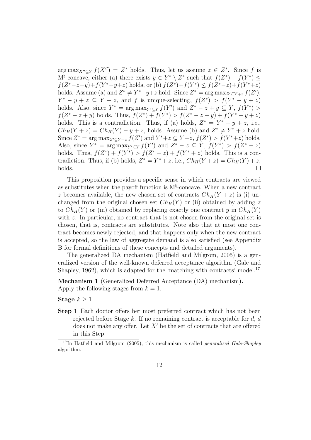$\arg \max_{X'' \subseteq Y} f(X'') = Z^*$  holds. Thus, let us assume  $z \in Z^*$ . Since f is  $M^{\natural}$ -concave, either (a) there exists  $y \in Y^* \setminus Z^*$  such that  $f(Z^*) + f(Y^*) \leq$  $f(Z^*-z+y)+f(Y^*-y+z)$  holds, or (b)  $f(Z^*)+f(Y^*) \le f(Z^*-z)+f(Y^*+z)$ holds. Assume (a) and  $Z^* \neq Y^* - y + z$  hold. Since  $Z^* = \arg \max_{Z' \subseteq Y + z} f(Z')$ ,  $Y^* - y + z \subseteq Y + z$ , and f is unique-selecting,  $f(Z^*) > f(Y^* - y + z)$ holds. Also, since  $Y^* = \arg \max_{Y' \subseteq Y} f(Y')$  and  $Z^* - z + y \subseteq Y$ ,  $f(Y^*) >$  $f(Z^* - z + y)$  holds. Thus,  $f(Z^*) + f(Y^*) > f(Z^* - z + y) + f(Y^* - y + z)$ holds. This is a contradiction. Thus, if (a) holds,  $Z^* = Y^* - y + z$ , i.e.,  $Ch_H(Y+z) = Ch_H(Y) - y + z$ , holds. Assume (b) and  $Z^* \neq Y^* + z$  hold. Since  $Z^* = \arg \max_{Z' \subseteq Y + z} f(Z')$  and  $Y^* + z \subseteq Y + z$ ,  $f(Z^*) > f(Y^* + z)$  holds. Also, since  $Y^* = \arg \max_{Y' \subseteq Y} f(Y')$  and  $Z^* - z \subseteq Y$ ,  $f(Y^*) > f(Z^* - z)$ holds. Thus,  $f(Z^*) + f(Y^*) > f(Z^* - z) + f(Y^* + z)$  holds. This is a contradiction. Thus, if (b) holds,  $Z^* = Y^* + z$ , i.e.,  $Ch_H(Y + z) = Ch_H(Y) + z$ , holds.  $\Box$ 

This proposition provides a specific sense in which contracts are viewed as substitutes when the payoff function is  $M^{\sharp}$ -concave. When a new contract z becomes available, the new chosen set of contracts  $Ch_H(Y + z)$  is (i) unchanged from the original chosen set  $Ch_H(Y)$  or (ii) obtained by adding z to  $Ch_H(Y)$  or (iii) obtained by replacing exactly one contract y in  $Ch_H(Y)$ with  $z$ . In particular, no contract that is not chosen from the original set is chosen, that is, contracts are substitutes. Note also that at most one contract becomes newly rejected, and that happens only when the new contract is accepted, so the law of aggregate demand is also satisfied (see Appendix B for formal definitions of these concepts and detailed arguments).

The generalized DA mechanism (Hatfield and Milgrom, 2005) is a generalized version of the well-known deferred acceptance algorithm (Gale and Shapley, 1962), which is adapted for the 'matching with contracts' model.<sup>17</sup>

Mechanism 1 (Generalized Deferred Acceptance (DA) mechanism). Apply the following stages from  $k = 1$ .

Stage  $k \geq 1$ 

Step 1 Each doctor offers her most preferred contract which has not been rejected before Stage  $k$ . If no remaining contract is acceptable for  $d, d$ does not make any offer. Let  $X'$  be the set of contracts that are offered in this Step.

 $17$ In Hatfield and Milgrom (2005), this mechanism is called *generalized Gale-Shapley* algorithm.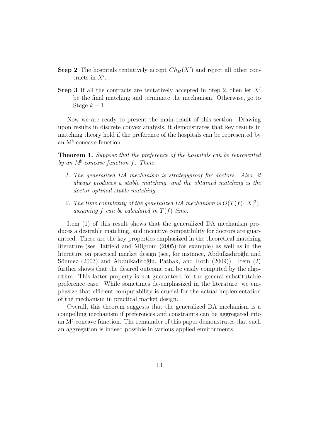- **Step 2** The hospitals tentatively accept  $Ch_H(X')$  and reject all other contracts in  $X'$ .
- **Step 3** If all the contracts are tentatively accepted in Step 2, then let  $X'$ be the final matching and terminate the mechanism. Otherwise, go to Stage  $k+1$ .

Now we are ready to present the main result of this section. Drawing upon results in discrete convex analysis, it demonstrates that key results in matching theory hold if the preference of the hospitals can be represented by an M<sup><sup> $\uparrow$ </sup>-concave function.</sup>

**Theorem 1.** Suppose that the preference of the hospitals can be represented by an  $M^{\sharp}$ -concave function f. Then:

- 1. The generalized DA mechanism is strategyproof for doctors. Also, it always produces a stable matching, and the obtained matching is the doctor-optimal stable matching.
- 2. The time complexity of the generalized DA mechanism is  $O(T(f) \cdot |X|^2)$ , assuming f can be calculated in  $T(f)$  time.

Item (1) of this result shows that the generalized DA mechanism produces a desirable matching, and incentive compatibility for doctors are guaranteed. These are the key properties emphasized in the theoretical matching literature (see Hatfield and Milgrom (2005) for example) as well as in the literature on practical market design (see, for instance, Abdulkadiroğlu and Sönmez (2003) and Abdulkadiroğlu, Pathak, and Roth (2009)). Item (2) further shows that the desired outcome can be easily computed by the algorithm. This latter property is not guaranteed for the general substitutable preference case. While sometimes de-emphasized in the literature, we emphasize that efficient computability is crucial for the actual implementation of the mechanism in practical market design.

Overall, this theorem suggests that the generalized DA mechanism is a compelling mechanism if preferences and constraints can be aggregated into an  $M^{\natural}$ -concave function. The remainder of this paper demonstrates that such an aggregation is indeed possible in various applied environments.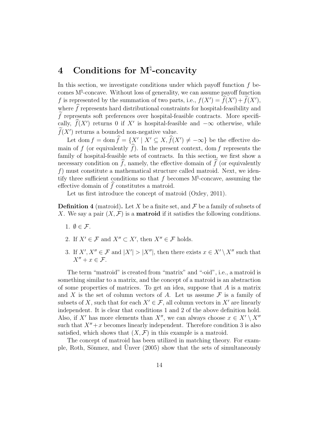## 4 Conditions for M<sup>\{1</sup>-concavity

In this section, we investigate conditions under which payoff function  $f$  becomes M♮ -concave. Without loss of generality, we can assume payoff function f is represented by the summation of two parts, i.e.,  $f(X') = f(X') + f(X')$ , where  $\widehat{f}$  represents hard distributional constraints for hospital-feasibility and  $\widetilde{f}$  represents soft preferences over hospital-feasible contracts. More specifically,  $f(X')$  returns 0 if X' is hospital-feasible and  $-\infty$  otherwise, while  $f(X')$  returns a bounded non-negative value.

Let dom  $f = \text{dom } \hat{f} = \{X' \mid X' \subseteq X, \hat{f}(X') \neq -\infty\}$  be the effective domain of f (or equivalently  $\widehat{f}$ ). In the present context, dom f represents the family of hospital-feasible sets of contracts. In this section, we first show a necessary condition on  $\hat{f}$ , namely, the effective domain of  $\hat{f}$  (or equivalently f) must constitute a mathematical structure called matroid. Next, we identify three sufficient conditions so that  $f$  becomes  $M^{\sharp}$ -concave, assuming the effective domain of  $f$  constitutes a matroid.

Let us first introduce the concept of matroid (Oxley, 2011).

**Definition 4** (matroid). Let X be a finite set, and  $\mathcal F$  be a family of subsets of X. We say a pair  $(X, \mathcal{F})$  is a **matroid** if it satisfies the following conditions.

- 1.  $\emptyset \in \mathcal{F}$ .
- 2. If  $X' \in \mathcal{F}$  and  $X'' \subset X'$ , then  $X'' \in \mathcal{F}$  holds.
- 3. If  $X', X'' \in \mathcal{F}$  and  $|X'| > |X''|$ , then there exists  $x \in X' \setminus X''$  such that  $X'' + x \in \mathcal{F}$ .

The term "matroid" is created from "matrix" and "-oid", i.e., a matroid is something similar to a matrix, and the concept of a matroid is an abstraction of some properties of matrices. To get an idea, suppose that  $A$  is a matrix and X is the set of column vectors of A. Let us assume  $\mathcal F$  is a family of subsets of X, such that for each  $X' \in \mathcal{F}$ , all column vectors in X' are linearly independent. It is clear that conditions 1 and 2 of the above definition hold. Also, if X' has more elements than  $X''$ , we can always choose  $x \in X' \setminus X''$ such that  $X'' + x$  becomes linearly independent. Therefore condition 3 is also satisfied, which shows that  $(X, \mathcal{F})$  in this example is a matroid.

The concept of matroid has been utilized in matching theory. For example, Roth, Sönmez, and Unver  $(2005)$  show that the sets of simultaneously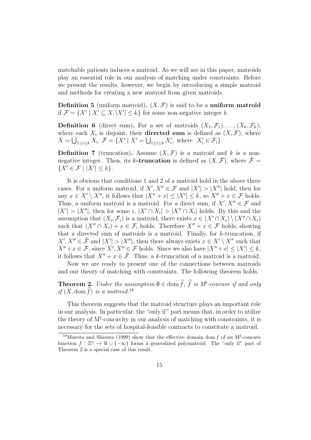matchable patients induces a matroid. As we will see in this paper, matroids play an essential role in our analysis of matching under constraints. Before we present the results, however, we begin by introducing a simple matroid and methods for creating a new matroid from given matroids.

**Definition 5** (uniform matroid).  $(X, \mathcal{F})$  is said to be a uniform matroid if  $\mathcal{F} = \{X' \mid X' \subseteq X, |X'| \leq k\}$  for some non-negative integer k.

**Definition 6** (direct sum). For a set of matroids  $(X_1, \mathcal{F}_1), \ldots, (X_k, \mathcal{F}_k)$ , where each  $X_i$  is disjoint, their **directed sum** is defined as  $(X, \mathcal{F})$ , where  $X = \bigcup_{1 \leq i \leq k} X_i, \, \mathcal{F} = \{ X' \mid X' = \bigcup_{1 \leq i \leq k} X'_i, \, \text{where } \, X'_i \in \mathcal{F}_i \}.$ 

**Definition 7** (truncation). Assume  $(X, \mathcal{F})$  is a matroid and k is a nonnegative integer. Then, its k-truncation is defined as  $(X, \mathcal{F})$ , where  $\mathcal{F} =$  $\{X' \in \mathcal{F} \mid |X'| \leq k\}.$ 

It is obvious that conditions 1 and 2 of a matroid hold in the above three cases. For a uniform matroid, if  $X', X'' \in \mathcal{F}$  and  $|X'| > |X''|$  hold, then for any  $x \in X' \setminus X''$ , it follows that  $|X'' + x| \leq |X'| \leq k$ , so  $X'' + x \in \mathcal{F}$  holds. Thus, a uniform matroid is a matroid. For a direct sum, if  $X', X'' \in \mathcal{F}$  and  $|X'| > |X''|$ , then for some i,  $|X' \cap X_i| > |X'' \cap X_i|$  holds. By this and the assumption that  $(X_i, \mathcal{F}_i)$  is a matroid, there exists  $x \in (X' \cap X_i) \setminus (X'' \cap X_i)$ such that  $(X'' \cap X_i) + x \in \mathcal{F}_i$  holds. Therefore  $X'' + x \in \mathcal{F}$  holds, showing that a directed sum of matroids is a matroid. Finally, for  $k$ -truncation, if  $X', X'' \in \tilde{\mathcal{F}}$  and  $|X'| > |X''|$ , then there always exists  $x \in X' \setminus X''$  such that  $X'' + x \in \mathcal{F}$ , since  $X', X'' \in \mathcal{F}$  holds. Since we also have  $|X'' + x| \leq |X'| \leq k$ , it follows that  $X'' + x \in \tilde{\mathcal{F}}$ . Thus, a k-truncation of a matroid is a matroid.

Now we are ready to present one of the connections between matroids and our theory of matching with constraints. The following theorem holds.

**Theorem 2.** Under the assumption  $\emptyset \in \text{dom } f$ , f is M<sup>†</sup>-concave if and only if  $(X, \text{dom }\widehat{f})$  is a matroid.<sup>18</sup>

This theorem suggests that the matroid structure plays an important role in our analysis. In particular, the "only if" part means that, in order to utilize the theory of  $M^{\sharp}$ -concavity in our analysis of matching with constraints, it is necessary for the sets of hospital-feasible contracts to constitute a matroid.

<sup>&</sup>lt;sup>18</sup>Murota and Shioura (1999) show that the effective domain dom f of an  $M^{\sharp}$ -concave function  $f : \mathbb{Z}^n \to \mathbb{R} \cup \{-\infty\}$  forms a generalized polymatroid. The "only if" part of Theorem 2 is a special case of this result.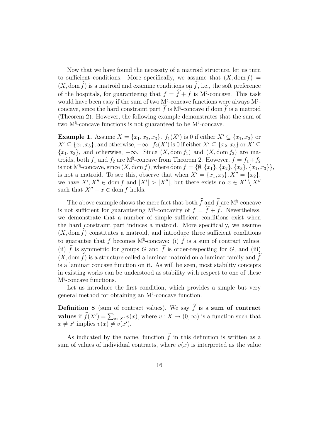Now that we have found the necessity of a matroid structure, let us turn to sufficient conditions. More specifically, we assume that  $(X, \text{dom } f) =$  $(X, \text{dom }\widehat{f})$  is a matroid and examine conditions on  $\widetilde{f}$ , i.e., the soft preference of the hospitals, for guaranteeing that  $f = \hat{f} + \hat{f}$  is M<sup> $\sharp$ </sup>-concave. This task would have been easy if the sum of two  $M^{\sharp}$ -concave functions were always  $M^{\sharp}$ concave, since the hard constraint part  $\hat{f}$  is  $M^{\natural}$ -concave if dom  $\hat{f}$  is a matroid (Theorem 2). However, the following example demonstrates that the sum of two M<sup><sup> $\sharp$ </sup>-concave functions is not guaranteed to be M<sup> $\sharp$ </sup>-concave.</sup>

**Example 1.** Assume  $X = \{x_1, x_2, x_3\}$ .  $f_1(X')$  is 0 if either  $X' \subseteq \{x_1, x_2\}$  or  $X' \subseteq \{x_1, x_3\}$ , and otherwise,  $-\infty$ .  $f_2(X')$  is 0 if either  $X' \subseteq \{x_2, x_3\}$  or  $X' \subseteq$  ${x_1, x_3}$ , and otherwise,  $-\infty$ . Since  $(X, \text{dom } f_1)$  and  $(X, \text{dom } f_2)$  are matroids, both  $f_1$  and  $f_2$  are  $M^{\natural}$ -concave from Theorem 2. However,  $f = f_1 + f_2$ is not M<sup>†</sup>-concave, since  $(X, \text{dom } f)$ , where dom  $f = \{ \emptyset, \{x_1\}, \{x_2\}, \{x_3\}, \{x_1, x_3\} \},$ is not a matroid. To see this, observe that when  $X' = \{x_1, x_3\}, X'' = \{x_2\},\$ we have  $X', X'' \in \text{dom } f$  and  $|X'| > |X''|$ , but there exists no  $x \in X' \setminus X''$ such that  $X'' + x \in \text{dom } f$  holds.

The above example shows the mere fact that both  $\hat{f}$  and  $\hat{f}$  are M<sup>t</sup>-concave is not sufficient for guaranteeing  $M^{\sharp}$ -concavity of  $f = f + f$ . Nevertheless, we demonstrate that a number of simple sufficient conditions exist when the hard constraint part induces a matroid. More specifically, we assume  $(X, \text{dom } f)$  constitutes a matroid, and introduce three sufficient conditions to guarantee that f becomes  $M^{\natural}$ -concave: (i) f is a sum of contract values, (ii)  $\hat{f}$  is symmetric for groups G and  $\tilde{f}$  is order-respecting for G, and (iii)  $(X, \text{dom }\widehat{f})$  is a structure called a laminar matroid on a laminar family and  $\widehat{f}$ is a laminar concave function on it. As will be seen, most stability concepts in existing works can be understood as stability with respect to one of these M♮ -concave functions.

Let us introduce the first condition, which provides a simple but very general method for obtaining an M<sup><sup> $\sharp$ </sup>-concave function.</sup>

**Definition 8** (sum of contract values). We say  $\tilde{f}$  is a sum of contract values if  $\widetilde{f}(X') = \sum_{x \in X'} v(x)$ , where  $v : X \to (0, \infty)$  is a function such that  $x \neq x'$  implies  $v(x) \neq v(x')$ .

As indicated by the name, function  $\tilde{f}$  in this definition is written as a sum of values of individual contracts, where  $v(x)$  is interpreted as the value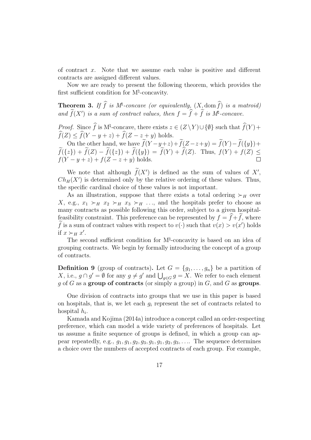of contract x. Note that we assume each value is positive and different contracts are assigned different values.

Now we are ready to present the following theorem, which provides the first sufficient condition for M<sup>\pl</sup>-concavity.

**Theorem 3.** If  $\widehat{f}$  is  $M^{\sharp}$ -concave (or equivalently,  $(X_{\mathcal{A}}\text{dom }\widehat{f})$  is a matroid) and  $f(X')$  is a sum of contract values, then  $f = \hat{f} + \hat{f}$  is  $M^{\sharp}$ -concave.

*Proof.* Since  $\hat{f}$  is M<sup>†</sup>-concave, there exists  $z \in (Z \setminus Y) \cup \{\emptyset\}$  such that  $\hat{f}(Y)$  +  $\widehat{f}(Z) \leq \widehat{f}(Y - y + z) + \widehat{f}(Z - z + y)$  holds.

On the other hand, we have  $f(Y-y+z)+f(Z-z+y) = f(Y)-f({y})+$  $f({z}) + f(Z) - f({z}) + f({y}) = f(Y) + f(Z)$ . Thus,  $f(Y) + f(Z) \le$  $f(Y - y + z) + f(Z - z + y)$  holds.

We note that although  $f(X')$  is defined as the sum of values of  $X'$ ,  $Ch_H(X')$  is determined only by the relative ordering of these values. Thus, the specific cardinal choice of these values is not important.

As an illustration, suppose that there exists a total ordering  $\succ_H$  over X, e.g.,  $x_1 \succ_H x_2 \succ_H x_3 \succ_H \dots$ , and the hospitals prefer to choose as many contracts as possible following this order, subject to a given hospitalfeasibility constraint. This preference can be represented by  $f = f + f$ , where f is a sum of contract values with respect to  $v(\cdot)$  such that  $v(x) > v(x')$  holds if  $x \succ_H x'$ .

The second sufficient condition for M<sup>\pl</sup>-concavity is based on an idea of grouping contracts. We begin by formally introducing the concept of a group of contracts.

**Definition 9** (group of contracts). Let  $G = \{g_1, \ldots, g_n\}$  be a partition of X, i.e.,  $g \cap g' = \emptyset$  for any  $g \neq g'$  and  $\bigcup_{g \in G} g = X$ . We refer to each element g of G as a group of contracts (or simply a group) in  $G$ , and G as groups.

One division of contracts into groups that we use in this paper is based on hospitals, that is, we let each  $g_i$  represent the set of contracts related to hospital  $h_i$ .

Kamada and Kojima (2014a) introduce a concept called an order-respecting preference, which can model a wide variety of preferences of hospitals. Let us assume a finite sequence of groups is defined, in which a group can appear repeatedly, e.g.,  $g_1, g_1, g_2, g_3, g_1, g_2, g_3, \ldots$  The sequence determines a choice over the numbers of accepted contracts of each group. For example,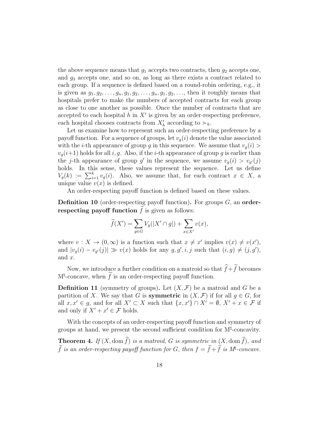the above sequence means that  $g_1$  accepts two contracts, then  $g_2$  accepts one, and  $q_3$  accepts one, and so on, as long as there exists a contract related to each group. If a sequence is defined based on a round-robin ordering, e.g., it is given as  $g_1, g_2, \ldots, g_n, g_1, g_2, \ldots, g_n, g_1, g_2, \ldots$ , then it roughly means that hospitals prefer to make the numbers of accepted contracts for each group as close to one another as possible. Once the number of contracts that are accepted to each hospital  $h$  in  $X'$  is given by an order-respecting preference, each hospital chooses contracts from  $X'_{h}$  according to  $\succ_{h}$ .

Let us examine how to represent such an order-respecting preference by a payoff function. For a sequence of groups, let  $v_g(i)$  denote the value associated with the *i*-th appearance of group g in this sequence. We assume that  $v_q(i)$  $v_q(i+1)$  holds for all i, g. Also, if the i-th appearance of group g is earlier than the j-th appearance of group g' in the sequence, we assume  $v_g(i) > v_{g'}(j)$ holds. In this sense, these values represent the sequence. Let us define  $V_g(k) := \sum_{i=1}^k v_g(i)$ . Also, we assume that, for each contract  $x \in X$ , a unique value  $v(x)$  is defined.

An order-respecting payoff function is defined based on these values.

**Definition 10** (order-respecting payoff function). For groups  $G$ , an orderrespecting payoff function  $\tilde{f}$  is given as follows:

$$
\widetilde{f}(X') = \sum_{g \in G} V_g(|X' \cap g|) + \sum_{x \in X'} v(x),
$$

where  $v: X \to (0, \infty)$  is a function such that  $x \neq x'$  implies  $v(x) \neq v(x')$ , and  $|v_g(i) - v_{g'}(j)| \gg v(x)$  holds for any  $g, g', i, j$  such that  $(i, g) \neq (j, g')$ , and x.

Now, we introduce a further condition on a matroid so that  $\widehat{f}+\widetilde{f}$  becomes  $M^{\natural}$ -concave, when  $\hat{f}$  is an order-respecting payoff function.

**Definition 11** (symmetry of groups). Let  $(X, \mathcal{F})$  be a matroid and G be a partition of X. We say that G is **symmetric** in  $(X, \mathcal{F})$  if for all  $q \in G$ , for all  $x, x' \in g$ , and for all  $X' \subset X$  such that  $\{x, x'\} \cap X' = \emptyset$ ,  $X' + x \in \mathcal{F}$  if and only if  $X' + x' \in \mathcal{F}$  holds.

With the concepts of an order-respecting payoff function and symmetry of groups at hand, we present the second sufficient condition for  $M^{\natural}$ -concavity.

**Theorem 4.** If  $(X, \text{dom }\widehat{f})$  is a matroid, G is symmetric in  $(X, \text{dom }\widehat{f})$ , and  $\widehat{f}$  is an order-respecting payoff function for G, then  $f = \widehat{f} + \widehat{f}$  is  $M^{\sharp}$ -concave.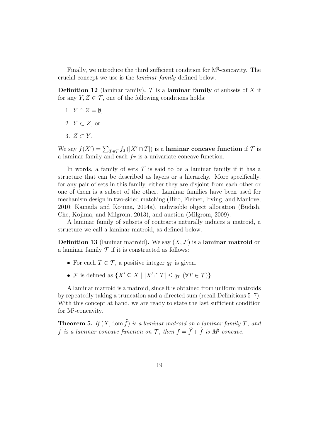Finally, we introduce the third sufficient condition for M♮ -concavity. The crucial concept we use is the laminar family defined below.

**Definition 12** (laminar family).  $\mathcal{T}$  is a laminar family of subsets of X if for any  $Y, Z \in \mathcal{T}$ , one of the following conditions holds:

- 1.  $Y \cap Z = \emptyset$ ,
- 2.  $Y \subset Z$ , or
- 3.  $Z \subset Y$ .

We say  $f(X') = \sum_{T \in \mathcal{T}} f_T(|X' \cap T|)$  is a laminar concave function if  $\mathcal{T}$  is a laminar family and each  $f<sub>T</sub>$  is a univariate concave function.

In words, a family of sets  $\mathcal T$  is said to be a laminar family if it has a structure that can be described as layers or a hierarchy. More specifically, for any pair of sets in this family, either they are disjoint from each other or one of them is a subset of the other. Laminar families have been used for mechanism design in two-sided matching (Biro, Fleiner, Irving, and Manlove, 2010; Kamada and Kojima, 2014a), indivisible object allocation (Budish, Che, Kojima, and Milgrom, 2013), and auction (Milgrom, 2009).

A laminar family of subsets of contracts naturally induces a matroid, a structure we call a laminar matroid, as defined below.

**Definition 13** (laminar matroid). We say  $(X, \mathcal{F})$  is a laminar matroid on a laminar family  $\mathcal T$  if it is constructed as follows:

- For each  $T \in \mathcal{T}$ , a positive integer  $q_T$  is given.
- F is defined as  $\{X' \subseteq X \mid |X' \cap T| \le q_T \ (\forall T \in \mathcal{T})\}.$

A laminar matroid is a matroid, since it is obtained from uniform matroids by repeatedly taking a truncation and a directed sum (recall Definitions 5–7). With this concept at hand, we are ready to state the last sufficient condition for M<sup><sup>†</sup>-concavity.</sup>

**Theorem 5.** If  $(X, \text{dom }\widehat{f})$  is a laminar matroid on a laminar family  $\mathcal{T}$ , and  $\widehat{f}$  is a laminar concave function on  $\mathcal{T}$ , then  $f = \widehat{f} + \widehat{f}$  is  $M^{\sharp}$ -concave.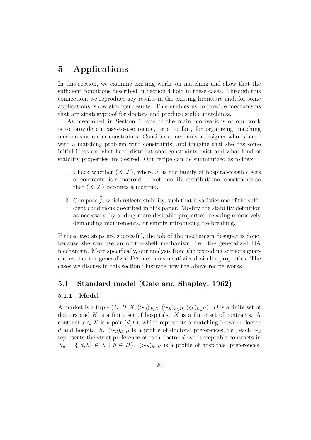## 5 Applications

In this section, we examine existing works on matching and show that the sufficient conditions described in Section 4 hold in these cases. Through this connection, we reproduce key results in the existing literature and, for some applications, show stronger results. This enables us to provide mechanisms that are strategyproof for doctors and produce stable matchings.

As mentioned in Section 1, one of the main motivations of our work is to provide an easy-to-use recipe, or a toolkit, for organizing matching mechanisms under constraints. Consider a mechanism designer who is faced with a matching problem with constraints, and imagine that she has some initial ideas on what hard distributional constraints exist and what kind of stability properties are desired. Our recipe can be summarized as follows.

- 1. Check whether  $(X, \mathcal{F})$ , where  $\mathcal F$  is the family of hospital-feasible sets of contracts, is a matroid. If not, modify distributional constraints so that  $(X, \mathcal{F})$  becomes a matroid.
- 2. Compose  $\tilde{f}$ , which reflects stability, such that it satisfies one of the sufficient conditions described in this paper. Modify the stability definition as necessary, by adding more desirable properties, relaxing excessively demanding requirements, or simply introducing tie-breaking.

If these two steps are successful, the job of the mechanism designer is done, because she can use an off-the-shelf mechanism, i.e., the generalized DA mechanism. More specifically, our analysis from the preceding sections guarantees that the generalized DA mechanism satisfies desirable properties. The cases we discuss in this section illustrate how the above recipe works.

### 5.1 Standard model (Gale and Shapley, 1962)

#### 5.1.1 Model

A market is a tuple  $(D, H, X, (\succ_d)_{d \in D}, (\succ_h)_{h \in H}, (q_h)_{h \in H})$ . D is a finite set of doctors and  $H$  is a finite set of hospitals. X is a finite set of contracts. A contract  $x \in X$  is a pair  $(d, h)$ , which represents a matching between doctor d and hospital h.  $(\succ_d)_{d\in D}$  is a profile of doctors' preferences, i.e., each  $\succ_d$ represents the strict preference of each doctor d over acceptable contracts in  $X_d = \{(d, h) \in X \mid h \in H\}.$   $(\succ_h)_{h \in H}$  is a profile of hospitals' preferences,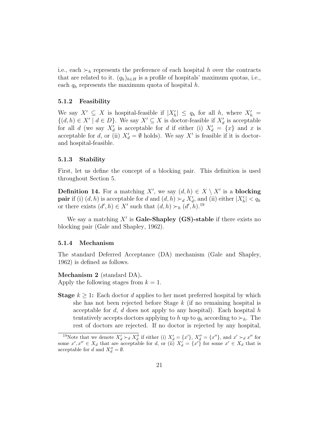i.e., each  $\succ_h$  represents the preference of each hospital h over the contracts that are related to it.  $(q_h)_{h\in H}$  is a profile of hospitals' maximum quotas, i.e., each  $q_h$  represents the maximum quota of hospital h.

#### 5.1.2 Feasibility

We say  $X' \subseteq X$  is hospital-feasible if  $|X'_h| \le q_h$  for all h, where  $X'_h =$  $\{(d, h) \in X' \mid d \in D\}$ . We say  $X' \subseteq X$  is doctor-feasible if  $X'_d$  is acceptable for all d (we say  $X'_d$  is acceptable for d if either (i)  $X'_d = \{x\}$  and x is acceptable for d, or (ii)  $X'_d = \emptyset$  holds). We say X' is feasible if it is doctorand hospital-feasible.

#### 5.1.3 Stability

First, let us define the concept of a blocking pair. This definition is used throughout Section 5.

**Definition 14.** For a matching X', we say  $(d, h) \in X \setminus X'$  is a **blocking pair** if (i)  $(d, h)$  is acceptable for d and  $(d, h) \succ_d X'_d$ , and (ii) either  $|X'_h| < q_h$ or there exists  $(d', h) \in X'$  such that  $(d, h) \succ_h (d', h)$ .<sup>19</sup>

We say a matching  $X'$  is Gale-Shapley (GS)-stable if there exists no blocking pair (Gale and Shapley, 1962).

#### 5.1.4 Mechanism

The standard Deferred Acceptance (DA) mechanism (Gale and Shapley, 1962) is defined as follows.

#### Mechanism 2 (standard DA).

Apply the following stages from  $k = 1$ .

**Stage**  $k \geq 1$ : Each doctor d applies to her most preferred hospital by which she has not been rejected before Stage  $k$  (if no remaining hospital is acceptable for  $d$ ,  $d$  does not apply to any hospital). Each hospital  $h$ tentatively accepts doctors applying to h up to  $q_h$  according to  $\succ_h$ . The rest of doctors are rejected. If no doctor is rejected by any hospital,

<sup>&</sup>lt;sup>19</sup>Note that we denote  $X'_d \succ_d X''_d$  if either (i)  $X'_d = \{x'\}, X''_d = \{x''\}, \text{ and } x' \succ_d x'' \text{ for }$ some  $x', x'' \in X_d$  that are acceptable for d, or (ii)  $X'_d = \{x'\}$  for some  $x' \in X_d$  that is acceptable for d and  $X''_d = \emptyset$ .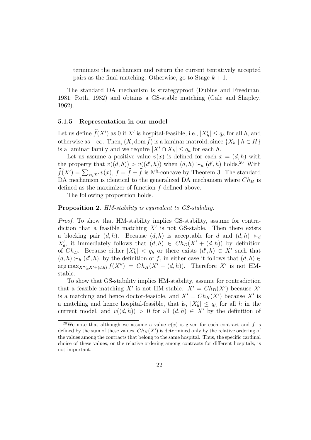terminate the mechanism and return the current tentatively accepted pairs as the final matching. Otherwise, go to Stage  $k + 1$ .

The standard DA mechanism is strategyproof (Dubins and Freedman, 1981; Roth, 1982) and obtains a GS-stable matching (Gale and Shapley, 1962).

#### 5.1.5 Representation in our model

Let us define  $f(X')$  as 0 if X' is hospital-feasible, i.e.,  $|X'_h| \le q_h$  for all h, and otherwise as  $-\infty$ . Then,  $(X, \text{dom }\widehat{f})$  is a laminar matroid, since  $\{X_h | h \in H\}$ is a laminar family and we require  $|X' \cap X_h| \le q_h$  for each h.

Let us assume a positive value  $v(x)$  is defined for each  $x = (d, h)$  with the property that  $v((d,h)) > v((d',h))$  when  $(d,h) > h(d',h)$  holds.<sup>20</sup> With  $\widetilde{f}(X') = \sum_{x \in X'} v(x)$ ,  $f = \widehat{f} + \widetilde{f}$  is M<sup>†</sup>-concave by Theorem 3. The standard DA mechanism is identical to the generalized DA mechanism where  $Ch_H$  is defined as the maximizer of function f defined above.

The following proposition holds.

#### Proposition 2. HM-stability is equivalent to GS-stability.

Proof. To show that HM-stability implies GS-stability, assume for contradiction that a feasible matching  $X'$  is not GS-stable. Then there exists a blocking pair  $(d, h)$ . Because  $(d, h)$  is acceptable for d and  $(d, h) \succ d$  $X'_{d}$ , it immediately follows that  $(d, h) \in Ch_D(X' + (d, h))$  by definition of  $Ch_D$ . Because either  $|X'_h| < q_h$  or there exists  $(d', h) \in X'$  such that  $(d, h) \succ_h (d', h)$ , by the definition of f, in either case it follows that  $(d, h) \in$  $\arg \max_{X'' \subseteq X' + (d,h)} f(X'') = Ch_H(X' + (d,h)).$  Therefore X' is not HMstable.

To show that GS-stability implies HM-stability, assume for contradiction that a feasible matching X' is not HM-stable.  $X' = Ch_D(X')$  because X' is a matching and hence doctor-feasible, and  $X' = Ch_H(X')$  because X' is a matching and hence hospital-feasible, that is,  $|X'_h| \le q_h$  for all h in the current model, and  $v((d, h)) > 0$  for all  $(d, h) \in X'$  by the definition of

<sup>&</sup>lt;sup>20</sup>We note that although we assume a value  $v(x)$  is given for each contract and f is defined by the sum of these values,  $Ch_H(X')$  is determined only by the relative ordering of the values among the contracts that belong to the same hospital. Thus, the specific cardinal choice of these values, or the relative ordering among contracts for different hospitals, is not important.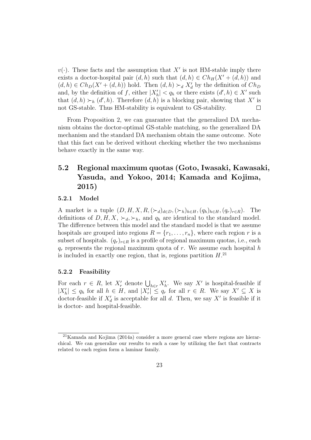$v(\cdot)$ . These facts and the assumption that X' is not HM-stable imply there exists a doctor-hospital pair  $(d, h)$  such that  $(d, h) \in Ch_H(X' + (d, h))$  and  $(d, h) \in Ch_D(X' + (d, h))$  hold. Then  $(d, h) \succ_d X'_d$  by the definition of  $Ch_D$ and, by the definition of f, either  $|X'_h| < q_h$  or there exists  $(d', h) \in X'$  such that  $(d, h) \succ_h (d', h)$ . Therefore  $(d, h)$  is a blocking pair, showing that X' is not GS-stable. Thus HM-stability is equivalent to GS-stability.  $\Box$ 

From Proposition 2, we can guarantee that the generalized DA mechanism obtains the doctor-optimal GS-stable matching, so the generalized DA mechanism and the standard DA mechanism obtain the same outcome. Note that this fact can be derived without checking whether the two mechanisms behave exactly in the same way.

## 5.2 Regional maximum quotas (Goto, Iwasaki, Kawasaki, Yasuda, and Yokoo, 2014; Kamada and Kojima, 2015)

#### 5.2.1 Model

A market is a tuple  $(D, H, X, R, (\succ_d)_{d \in D}, (\succ_h)_{h \in H}, (q_h)_{h \in H}, (q_r)_{r \in R})$ . The definitions of  $D, H, X, \succ_d, \succ_h$ , and  $q_h$  are identical to the standard model. The difference between this model and the standard model is that we assume hospitals are grouped into regions  $R = \{r_1, \ldots, r_n\}$ , where each region r is a subset of hospitals.  $(q_r)_{r \in R}$  is a profile of regional maximum quotas, i.e., each  $q_r$  represents the regional maximum quota of r. We assume each hospital h is included in exactly one region, that is, regions partition  $H^{(2)}$ .

#### 5.2.2 Feasibility

For each  $r \in R$ , let  $X'_r$  denote  $\bigcup_{h \in r} X'_h$ . We say  $X'$  is hospital-feasible if  $|X'_h| \le q_h$  for all  $h \in H$ , and  $|X'_r| \le q_r$  for all  $r \in R$ . We say  $X' \subseteq X$  is doctor-feasible if  $X'_d$  is acceptable for all d. Then, we say  $X'$  is feasible if it is doctor- and hospital-feasible.

 $^{21}$ Kamada and Kojima (2014a) consider a more general case where regions are hierarchical. We can generalize our results to such a case by utilizing the fact that contracts related to each region form a laminar family.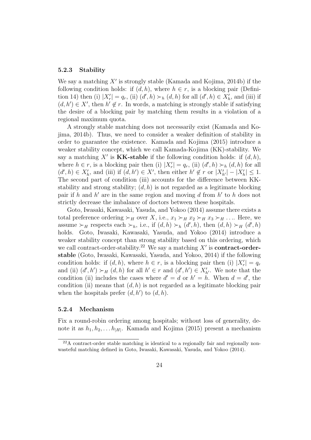#### 5.2.3 Stability

We say a matching  $X'$  is strongly stable (Kamada and Kojima, 2014b) if the following condition holds: if  $(d, h)$ , where  $h \in r$ , is a blocking pair (Definition 14) then (i)  $|X'_r| = q_r$ , (ii)  $(d', h) \succ_h (d, h)$  for all  $(d', h) \in X'_h$ , and (iii) if  $(d, h') \in X'$ , then  $h' \notin r$ . In words, a matching is strongly stable if satisfying the desire of a blocking pair by matching them results in a violation of a regional maximum quota.

A strongly stable matching does not necessarily exist (Kamada and Kojima, 2014b). Thus, we need to consider a weaker definition of stability in order to guarantee the existence. Kamada and Kojima (2015) introduce a weaker stability concept, which we call Kamada-Kojima (KK)-stability. We say a matching X' is **KK-stable** if the following condition holds: if  $(d, h)$ , where  $h \in r$ , is a blocking pair then (i)  $|X'_r| = q_r$ , (ii)  $(d', h) \succ_h (d, h)$  for all  $(d', h) \in X'_{h}$ , and (iii) if  $(d, h') \in X'$ , then either  $h' \notin r$  or  $|X'_{h'}| - |X'_{h}| \leq 1$ . The second part of condition (iii) accounts for the difference between KKstability and strong stability;  $(d, h)$  is not regarded as a legitimate blocking pair if h and  $h'$  are in the same region and moving d from  $h'$  to h does not strictly decrease the imbalance of doctors between these hospitals.

Goto, Iwasaki, Kawasaki, Yasuda, and Yokoo (2014) assume there exists a total preference ordering  $\succ_H$  over X, i.e.,  $x_1 \succ_H x_2 \succ_H x_3 \succ_H \ldots$  Here, we assume  $\succ_H$  respects each  $\succ_h$ , i.e., if  $(d,h) \succ_h (d',h)$ , then  $(d,h) \succ_H (d',h)$ holds. Goto, Iwasaki, Kawasaki, Yasuda, and Yokoo (2014) introduce a weaker stability concept than strong stability based on this ordering, which we call contract-order-stability.<sup>22</sup> We say a matching  $X'$  is **contract-order**stable (Goto, Iwasaki, Kawasaki, Yasuda, and Yokoo, 2014) if the following condition holds: if  $(d, h)$ , where  $h \in r$ , is a blocking pair then (i)  $|X'_r| = q_r$ and (ii)  $(d', h') \succ_H (d, h)$  for all  $h' \in r$  and  $(d', h') \in X'_{h'}$ . We note that the condition (ii) includes the cases where  $d' = d$  or  $h' = h$ . When  $d = d'$ , the condition (ii) means that  $(d, h)$  is not regarded as a legitimate blocking pair when the hospitals prefer  $(d, h')$  to  $(d, h)$ .

#### 5.2.4 Mechanism

Fix a round-robin ordering among hospitals; without loss of generality, denote it as  $h_1, h_2, \ldots h_{|H|}$ . Kamada and Kojima (2015) present a mechanism

 $^{22}$ A contract-order stable matching is identical to a regionally fair and regionally nonwasteful matching defined in Goto, Iwasaki, Kawasaki, Yasuda, and Yokoo (2014).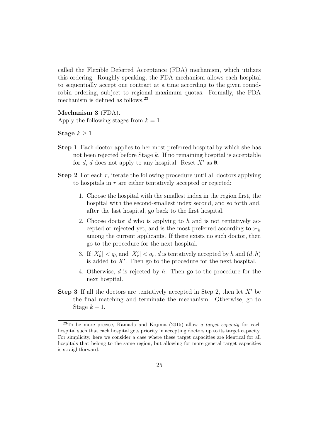called the Flexible Deferred Acceptance (FDA) mechanism, which utilizes this ordering. Roughly speaking, the FDA mechanism allows each hospital to sequentially accept one contract at a time according to the given roundrobin ordering, subject to regional maximum quotas. Formally, the FDA mechanism is defined as follows.<sup>23</sup>

Mechanism 3 (FDA). Apply the following stages from  $k = 1$ .

Stage  $k \geq 1$ 

- Step 1 Each doctor applies to her most preferred hospital by which she has not been rejected before Stage  $k$ . If no remaining hospital is acceptable for d, d does not apply to any hospital. Reset  $X'$  as  $\emptyset$ .
- **Step 2** For each  $r$ , iterate the following procedure until all doctors applying to hospitals in r are either tentatively accepted or rejected:
	- 1. Choose the hospital with the smallest index in the region first, the hospital with the second-smallest index second, and so forth and, after the last hospital, go back to the first hospital.
	- 2. Choose doctor d who is applying to h and is not tentatively accepted or rejected yet, and is the most preferred according to  $\succ_h$ among the current applicants. If there exists no such doctor, then go to the procedure for the next hospital.
	- 3. If  $|X'_h| < q_h$  and  $|X'_r| < q_r$ , d is tentatively accepted by h and  $(d, h)$ is added to X′ . Then go to the procedure for the next hospital.
	- 4. Otherwise, d is rejected by h. Then go to the procedure for the next hospital.
- **Step 3** If all the doctors are tentatively accepted in Step 2, then let  $X'$  be the final matching and terminate the mechanism. Otherwise, go to Stage  $k+1$ .

 $23$ To be more precise, Kamada and Kojima (2015) allow a target capacity for each hospital such that each hospital gets priority in accepting doctors up to its target capacity. For simplicity, here we consider a case where these target capacities are identical for all hospitals that belong to the same region, but allowing for more general target capacities is straightforward.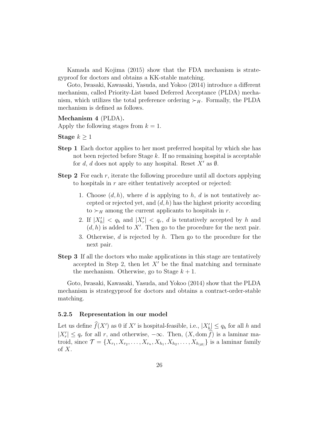Kamada and Kojima (2015) show that the FDA mechanism is strategyproof for doctors and obtains a KK-stable matching.

Goto, Iwasaki, Kawasaki, Yasuda, and Yokoo (2014) introduce a different mechanism, called Priority-List based Deferred Acceptance (PLDA) mechanism, which utilizes the total preference ordering  $\succ_H$ . Formally, the PLDA mechanism is defined as follows.

#### Mechanism 4 (PLDA).

Apply the following stages from  $k = 1$ .

Stage  $k > 1$ 

- Step 1 Each doctor applies to her most preferred hospital by which she has not been rejected before Stage k. If no remaining hospital is acceptable for d, d does not apply to any hospital. Reset  $X'$  as  $\emptyset$ .
- **Step 2** For each  $r$ , iterate the following procedure until all doctors applying to hospitals in r are either tentatively accepted or rejected:
	- 1. Choose  $(d, h)$ , where d is applying to h, d is not tentatively accepted or rejected yet, and  $(d, h)$  has the highest priority according to  $\succ_H$  among the current applicants to hospitals in r.
	- 2. If  $|X'_h| < q_h$  and  $|X'_r| < q_r$ , d is tentatively accepted by h and  $(d, h)$  is added to X'. Then go to the procedure for the next pair.
	- 3. Otherwise,  $d$  is rejected by  $h$ . Then go to the procedure for the next pair.
- Step 3 If all the doctors who make applications in this stage are tentatively accepted in Step 2, then let  $X'$  be the final matching and terminate the mechanism. Otherwise, go to Stage  $k+1$ .

Goto, Iwasaki, Kawasaki, Yasuda, and Yokoo (2014) show that the PLDA mechanism is strategyproof for doctors and obtains a contract-order-stable matching.

#### 5.2.5 Representation in our model

Let us define  $\widehat{f}(X')$  as 0 if X' is hospital-feasible, i.e.,  $|X'_{h}|\leq q_h$  for all h and  $|X'_r| \leq q_r$  for all r, and otherwise,  $-\infty$ . Then,  $(X, \text{dom } f)$  is a laminar matroid, since  $\mathcal{T} = \{X_{r_1}, X_{r_2}, \dots, X_{r_n}, X_{h_1}, X_{h_2}, \dots, X_{h_{|H|}}\}$  is a laminar family of  $X$ .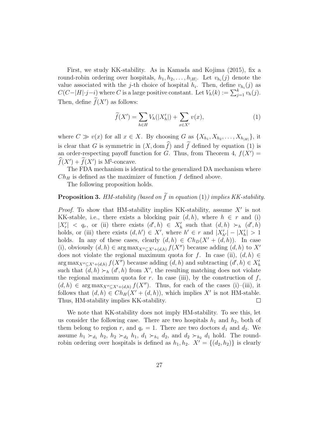First, we study KK-stability. As in Kamada and Kojima (2015), fix a round-robin ordering over hospitals,  $h_1, h_2, \ldots, h_{|H|}$ . Let  $v_{h_i}(j)$  denote the value associated with the j-th choice of hospital  $h_i$ . Then, define  $v_{h_i}(j)$  as  $C(C-|H|\cdot j-i)$  where C is a large positive constant. Let  $V_h(k) := \sum_{j=1}^k v_h(j)$ . Then, define  $f(X')$  as follows:

$$
\widetilde{f}(X') = \sum_{h \in H} V_h(|X'_h|) + \sum_{x \in X'} v(x),\tag{1}
$$

where  $C \gg v(x)$  for all  $x \in X$ . By choosing G as  $\{X_{h_1}, X_{h_2}, \ldots, X_{h_{|H|}}\}$ , it is clear that G is symmetric in  $(X, \text{dom }\hat{f})$  and  $\hat{f}$  defined by equation (1) is an order-respecting payoff function for G. Thus, from Theorem 4,  $f(X') =$  $\widehat{f}(X') + \widehat{f}(X')$  is  $M^{\natural}$ -concave.

The FDA mechanism is identical to the generalized DA mechanism where  $Ch_H$  is defined as the maximizer of function  $f$  defined above.

The following proposition holds.

### **Proposition 3.** HM-stability (based on  $\tilde{f}$  in equation (1)) implies KK-stability.

*Proof.* To show that HM-stability implies KK-stability, assume  $X'$  is not KK-stable, i.e., there exists a blocking pair  $(d, h)$ , where  $h \in r$  and (i)  $|X'_r| \leq q_r$ , or (ii) there exists  $(d', h) \in X'_h$  such that  $(d, h) \succ_h (d', h)$ holds, or (iii) there exists  $(d, h') \in X'$ , where  $h' \in r$  and  $|X'_{h'}| - |X'_{h}| > 1$ holds. In any of these cases, clearly  $(d, h) \in Ch_D(X' + (d, h))$ . In case (i), obviously  $(d, h) \in \arg \max_{X'' \subseteq X' + (d, h)} f(X'')$  because adding  $(d, h)$  to X' does not violate the regional maximum quota for f. In case (ii),  $(d, h) \in$  $\arg \max_{X'' \subseteq X' + (d,h)} f(X'')$  because adding  $(d,h)$  and subtracting  $(d',h) \in X'_{h}$ such that  $(d, h) \succ_h (d', h)$  from X', the resulting matching does not violate the regional maximum quota for r. In case (iii), by the construction of  $f$ ,  $(d, h) \in \arg \max_{X'' \subseteq X' + (d,h)} f(X'')$ . Thus, for each of the cases (i)–(iii), it follows that  $(d, h) \in Ch_H(X' + (d, h))$ , which implies X' is not HM-stable. Thus, HM-stability implies KK-stability.  $\Box$ 

We note that KK-stability does not imply HM-stability. To see this, let us consider the following case. There are two hospitals  $h_1$  and  $h_2$ , both of them belong to region r, and  $q_r = 1$ . There are two doctors  $d_1$  and  $d_2$ . We assume  $h_1 \succ_{d_1} h_2$ ,  $h_2 \succ_{d_2} h_1$ ,  $d_1 \succ_{h_1} d_2$ , and  $d_2 \succ_{h_2} d_1$  hold. The roundrobin ordering over hospitals is defined as  $h_1, h_2$ .  $X' = \{(d_2, h_2)\}\$ is clearly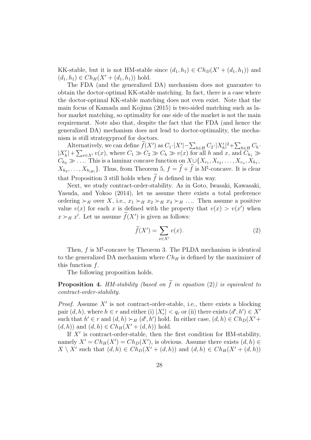KK-stable, but it is not HM-stable since  $(d_1, h_1) \in Ch_D(X' + (d_1, h_1))$  and  $(d_1, h_1) \in Ch_H(X' + (d_1, h_1))$  hold.

The FDA (and the generalized DA) mechanism does not guarantee to obtain the doctor-optimal KK-stable matching. In fact, there is a case where the doctor-optimal KK-stable matching does not even exist. Note that the main focus of Kamada and Kojima (2015) is two-sided matching such as labor market matching, so optimality for one side of the market is not the main requirement. Note also that, despite the fact that the FDA (and hence the generalized DA) mechanism does not lead to doctor-optimality, the mechanism is still strategyproof for doctors.

Alternatively, we can define  $\widetilde{f}(X')$  as  $C_1 \cdot |X'| - \sum_{h \in H} C_2 \cdot |X'_h|^2 + \sum_{h \in H} C_h$ .  $|X'_h| + \sum_{x \in X'} v(x)$ , where  $C_1 \gg C_2 \gg C_h \gg v(x)$  for all h and x, and  $C_{h_1} \gg$  $C_{h_2} \gg \ldots$  This is a laminar concave function on  $X \cup \{X_{r_1}, X_{r_2}, \ldots, X_{r_n}, X_{h_1},\}$  $X_{h_2}, \ldots, X_{h_{|H|}}\}$ . Thus, from Theorem 5,  $f = \hat{f} + \hat{f}$  is M<sup>†</sup>-concave. It is clear that Proposition 3 still holds when  $f$  is defined in this way.

Next, we study contract-order-stability. As in Goto, Iwasaki, Kawasaki, Yasuda, and Yokoo (2014), let us assume there exists a total preference ordering  $\succ_H$  over X, i.e.,  $x_1 \succ_H x_2 \succ_H x_3 \succ_H \ldots$  Then assume a positive value  $v(x)$  for each x is defined with the property that  $v(x) > v(x')$  when  $x \succ_H x'$ . Let us assume  $f(X')$  is given as follows:

$$
\widetilde{f}(X') = \sum_{x \in X'} v(x). \tag{2}
$$

Then,  $f$  is  $M^{\natural}$ -concave by Theorem 3. The PLDA mechanism is identical to the generalized DA mechanism where  $Ch_H$  is defined by the maximizer of this function  $f$ .

The following proposition holds.

**Proposition 4.** HM-stability (based on  $\tilde{f}$  in equation (2)) is equivalent to contract-order-stability.

*Proof.* Assume  $X'$  is not contract-order-stable, i.e., there exists a blocking pair  $(d, h)$ , where  $h \in r$  and either (i)  $|X'_r| < q_r$  or (ii) there exists  $(d', h') \in X'$ such that  $h' \in r$  and  $(d, h) \succ_H (d', h')$  hold. In either case,  $(d, h) \in Ch_D(X' +$  $(d, h)$  and  $(d, h) \in Ch_H(X' + (d, h))$  hold.

If  $X'$  is contract-order-stable, then the first condition for HM-stability, namely  $X' = Ch_H(X') = Ch_D(X')$ , is obvious. Assume there exists  $(d, h) \in$  $X \setminus X'$  such that  $(d, h) \in Ch_D(X' + (d, h))$  and  $(d, h) \in Ch_H(X' + (d, h))$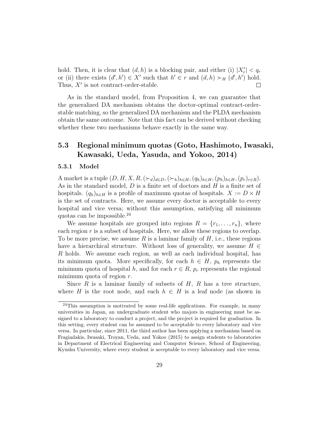hold. Then, it is clear that  $(d, h)$  is a blocking pair, and either (i)  $|X'_r| < q_r$ or (ii) there exists  $(d', h') \in X'$  such that  $h' \in r$  and  $(d, h) \succ_H (d', h')$  hold. Thus,  $X'$  is not contract-order-stable.  $\Box$ 

As in the standard model, from Proposition 4, we can guarantee that the generalized DA mechanism obtains the doctor-optimal contract-orderstable matching, so the generalized DA mechanism and the PLDA mechanism obtain the same outcome. Note that this fact can be derived without checking whether these two mechanisms behave exactly in the same way.

### 5.3 Regional minimum quotas (Goto, Hashimoto, Iwasaki, Kawasaki, Ueda, Yasuda, and Yokoo, 2014)

#### 5.3.1 Model

A market is a tuple  $(D, H, X, R, (\succ_d)_{d \in D}, (\succ_h)_{h \in H}, (q_h)_{h \in H}, (p_h)_{h \in H}, (p_r)_{r \in R}).$ As in the standard model,  $D$  is a finite set of doctors and  $H$  is a finite set of hospitals.  $(q_h)_{h \in H}$  is a profile of maximum quotas of hospitals.  $X := D \times H$ is the set of contracts. Here, we assume every doctor is acceptable to every hospital and vice versa; without this assumption, satisfying all minimum quotas can be impossible.<sup>24</sup>

We assume hospitals are grouped into regions  $R = \{r_1, \ldots, r_n\}$ , where each region  $r$  is a subset of hospitals. Here, we allow these regions to overlap. To be more precise, we assume R is a laminar family of  $H$ , i.e., these regions have a hierarchical structure. Without loss of generality, we assume  $H \in$ R holds. We assume each region, as well as each individual hospital, has its minimum quota. More specifically, for each  $h \in H$ ,  $p_h$  represents the minimum quota of hospital h, and for each  $r \in R$ ,  $p_r$  represents the regional minimum quota of region  $r$ .

Since  $R$  is a laminar family of subsets of  $H$ ,  $R$  has a tree structure, where H is the root node, and each  $h \in H$  is a leaf node (as shown in

 $24$ This assumption is motivated by some real-life applications. For example, in many universities in Japan, an undergraduate student who majors in engineering must be assigned to a laboratory to conduct a project, and the project is required for graduation. In this setting, every student can be assumed to be acceptable to every laboratory and vice versa. In particular, since 2011, the third author has been applying a mechanism based on Fragiadakis, Iwasaki, Troyan, Ueda, and Yokoo (2015) to assign students to laboratories in Department of Electrical Engineering and Computer Science, School of Engineering, Kyushu University, where every student is acceptable to every laboratory and vice versa.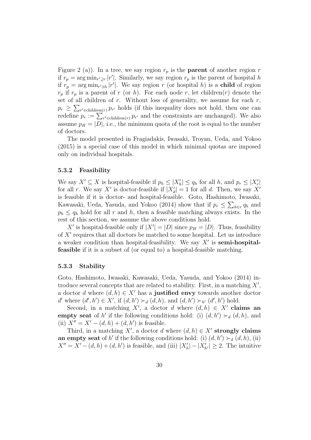Figure 2 (a)). In a tree, we say region  $r_p$  is the **parent** of another region r if  $r_p = \arg \min_{r' \supsetneq r} |r'|$ . Similarly, we say region  $r_p$  is the parent of hospital h if  $r_p = \arg \min_{r' \ni h} |r'|$ . We say region r (or hospital h) is a child of region  $r_p$  if  $r_p$  is a parent of r (or h). For each node r, let children(r) denote the set of all children of  $r$ . Without loss of generality, we assume for each  $r$ ,  $p_r \geq \sum_{r' \in \text{children}(r)} p_{r'}$  holds (if this inequality does not hold, then one can redefine  $p_r := \sum_{r' \in \text{children}(r)} p_{r'}$  and the constraints are unchanged). We also assume  $p_H = |D|$ , i.e., the minimum quota of the root is equal to the number of doctors.

The model presented in Fragiadakis, Iwasaki, Troyan, Ueda, and Yokoo (2015) is a special case of this model in which minimal quotas are imposed only on individual hospitals.

#### 5.3.2 Feasibility

We say  $X' \subseteq X$  is hospital-feasible if  $p_h \leq |X'_h| \leq q_h$  for all h, and  $p_r \leq |X'_r|$ for all r. We say X' is doctor-feasible if  $|X'_d|=1$  for all d. Then, we say X' is feasible if it is doctor- and hospital-feasible. Goto, Hashimoto, Iwasaki, Kawasaki, Ueda, Yasuda, and Yokoo (2014) show that if  $p_r \leq \sum_{h \in r} q_h$  and  $p_h \leq q_h$  hold for all r and h, then a feasible matching always exists. In the rest of this section, we assume the above conditions hold.

X' is hospital-feasible only if  $|X'| = |D|$  since  $p_H = |D|$ . Thus, feasibility of  $X'$  requires that all doctors be matched to some hospital. Let us introduce a weaker condition than hospital-feasibility. We say  $X'$  is semi-hospitalfeasible if it is a subset of (or equal to) a hospital-feasible matching.

#### 5.3.3 Stability

Goto, Hashimoto, Iwasaki, Kawasaki, Ueda, Yasuda, and Yokoo (2014) introduce several concepts that are related to stability. First, in a matching  $X'$ , a doctor d where  $(d, h) \in X'$  has a justified envy towards another doctor d' where  $(d', h') \in X'$ , if  $(d, h') \succ_d (d, h)$ , and  $(d, h') \succ_{h'} (d', h')$  hold.

Second, in a matching X', a doctor d where  $(d, h) \in X'$  claims and empty seat of h' if the following conditions hold: (i)  $(d, h') \succ_d (d, h)$ , and (ii)  $X'' = X' - (d, h) + (d, h')$  is feasible.

Third, in a matching X', a doctor d where  $(d, h) \in X'$  strongly claims an empty seat of h' if the following conditions hold: (i)  $(d, h') \succ_d (d, h)$ , (ii)  $X'' = X' - (d, h) + (d, h')$  is feasible, and (iii)  $|X'_h| - |X'_{h'}| \ge 2$ . The intuitive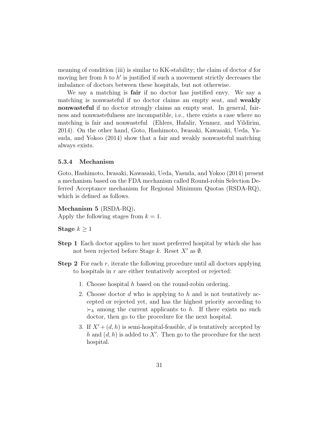meaning of condition (iii) is similar to KK-stability; the claim of doctor d for moving her from  $h$  to  $h'$  is justified if such a movement strictly decreases the imbalance of doctors between these hospitals, but not otherwise.

We say a matching is **fair** if no doctor has justified envy. We say a matching is nonwasteful if no doctor claims an empty seat, and weakly nonwasteful if no doctor strongly claims an empty seat. In general, fairness and nonwastefulness are incompatible, i.e., there exists a case where no matching is fair and nonwasteful (Ehlers, Hafalir, Yenmez, and Yildirim, 2014). On the other hand, Goto, Hashimoto, Iwasaki, Kawasaki, Ueda, Yasuda, and Yokoo (2014) show that a fair and weakly nonwasteful matching always exists.

#### 5.3.4 Mechanism

Goto, Hashimoto, Iwasaki, Kawasaki, Ueda, Yasuda, and Yokoo (2014) present a mechanism based on the FDA mechanism called Round-robin Selection Deferred Acceptance mechanism for Regional Minimum Quotas (RSDA-RQ), which is defined as follows.

Mechanism 5 (RSDA-RQ).

Apply the following stages from  $k = 1$ .

Stage  $k \geq 1$ 

- Step 1 Each doctor applies to her most preferred hospital by which she has not been rejected before Stage k. Reset  $X'$  as  $\emptyset$ .
- **Step 2** For each  $r$ , iterate the following procedure until all doctors applying to hospitals in  $r$  are either tentatively accepted or rejected:
	- 1. Choose hospital  $h$  based on the round-robin ordering.
	- 2. Choose doctor  $d$  who is applying to  $h$  and is not tentatively accepted or rejected yet, and has the highest priority according to  $\succ_h$  among the current applicants to h. If there exists no such doctor, then go to the procedure for the next hospital.
	- 3. If  $X' + (d, h)$  is semi-hospital-feasible, d is tentatively accepted by h and  $(d, h)$  is added to X'. Then go to the procedure for the next hospital.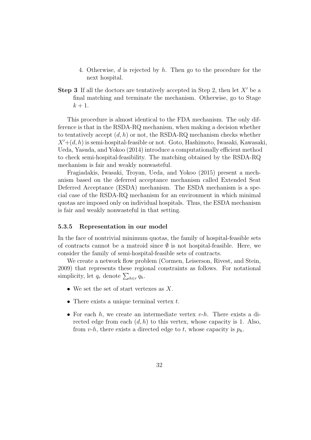- 4. Otherwise, d is rejected by h. Then go to the procedure for the next hospital.
- **Step 3** If all the doctors are tentatively accepted in Step 2, then let  $X'$  be a final matching and terminate the mechanism. Otherwise, go to Stage  $k+1$ .

This procedure is almost identical to the FDA mechanism. The only difference is that in the RSDA-RQ mechanism, when making a decision whether to tentatively accept  $(d, h)$  or not, the RSDA-RQ mechanism checks whether  $X' + (d, h)$  is semi-hospital-feasible or not. Goto, Hashimoto, Iwasaki, Kawasaki, Ueda, Yasuda, and Yokoo (2014) introduce a computationally efficient method to check semi-hospital-feasibility. The matching obtained by the RSDA-RQ mechanism is fair and weakly nonwasteful.

Fragiadakis, Iwasaki, Troyan, Ueda, and Yokoo (2015) present a mechanism based on the deferred acceptance mechanism called Extended Seat Deferred Acceptance (ESDA) mechanism. The ESDA mechanism is a special case of the RSDA-RQ mechanism for an environment in which minimal quotas are imposed only on individual hospitals. Thus, the ESDA mechanism is fair and weakly nonwasteful in that setting.

#### 5.3.5 Representation in our model

In the face of nontrivial minimum quotas, the family of hospital-feasible sets of contracts cannot be a matroid since  $\emptyset$  is not hospital-feasible. Here, we consider the family of semi-hospital-feasible sets of contracts.

We create a network flow problem (Cormen, Leiserson, Rivest, and Stein, 2009) that represents these regional constraints as follows. For notational simplicity, let  $q_r$  denote  $\sum_{h \in r} q_h$ .

- We set the set of start vertexes as  $X$ .
- There exists a unique terminal vertex  $t$ .
- For each  $h$ , we create an intermediate vertex  $v-h$ . There exists a directed edge from each  $(d, h)$  to this vertex, whose capacity is 1. Also, from v-h, there exists a directed edge to t, whose capacity is  $p_h$ .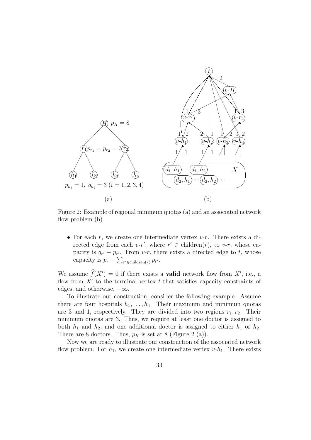

Figure 2: Example of regional minimum quotas (a) and an associated network flow problem (b)

• For each r, we create one intermediate vertex  $v-r$ . There exists a directed edge from each  $v-r'$ , where  $r' \in \text{children}(r)$ , to  $v-r$ , whose capacity is  $q_{r'} - p_{r'}$ . From v-r, there exists a directed edge to t, whose capacity is  $p_r - \sum_{r' \in \text{children}(r)} p_{r'}$ .

We assume  $\hat{f}(X') = 0$  if there exists a **valid** network flow from X', i.e., a flow from  $X'$  to the terminal vertex  $t$  that satisfies capacity constraints of edges, and otherwise,  $-\infty$ .

To illustrate our construction, consider the following example. Assume there are four hospitals  $h_1, \ldots, h_4$ . Their maximum and minimum quotas are 3 and 1, respectively. They are divided into two regions  $r_1, r_2$ . Their minimum quotas are 3. Thus, we require at least one doctor is assigned to both  $h_1$  and  $h_2$ , and one additional doctor is assigned to either  $h_1$  or  $h_2$ . There are 8 doctors. Thus,  $p_H$  is set at 8 (Figure 2 (a)).

Now we are ready to illustrate our construction of the associated network flow problem. For  $h_1$ , we create one intermediate vertex  $v-h_1$ . There exists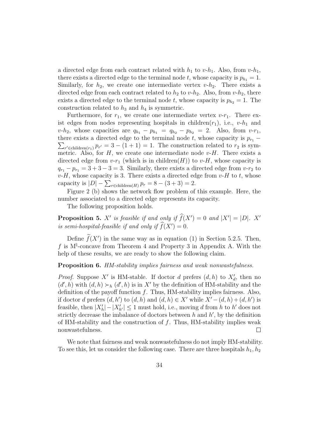a directed edge from each contract related with  $h_1$  to  $v-h_1$ . Also, from  $v-h_1$ , there exists a directed edge to the terminal node t, whose capacity is  $p_{h_1} = 1$ . Similarly, for  $h_2$ , we create one intermediate vertex  $v-h_2$ . There exists a directed edge from each contract related to  $h_2$  to  $v-h_2$ . Also, from  $v-h_2$ , there exists a directed edge to the terminal node t, whose capacity is  $p_{h_2} = 1$ . The construction related to  $h_3$  and  $h_4$  is symmetric.

Furthermore, for  $r_1$ , we create one intermediate vertex  $v-r_1$ . There exist edges from nodes representing hospitals in children $(r_1)$ , i.e.,  $v-h_1$  and  $v-h_2$ , whose capacities are  $q_{h_1} - p_{h_1} = q_{h_2} - p_{h_2} = 2$ . Also, from  $v-r_1$ , there exists a directed edge to the terminal node  $t$ , whose capacity is  $p_{r_1}$  –  $\sum_{r' \in \text{children}(r_1)} p_{r'} = 3 - (1 + 1) = 1$ . The construction related to  $r_2$  is symmetric. Also, for  $H$ , we create one intermediate node  $v$ - $H$ . There exists a directed edge from  $v-r_1$  (which is in children(H)) to  $v$ -H, whose capacity is  $q_{r_1} - p_{r_1} = 3 + 3 - 3 = 3$ . Similarly, there exists a directed edge from  $v-r_2$  to  $v$ -H, whose capacity is 3. There exists a directed edge from  $v$ -H to t, whose capacity is  $|D| - \sum_{r \in \text{children}(H)} p_r = 8 - (3 + 3) = 2.$ 

Figure 2 (b) shows the network flow problem of this example. Here, the number associated to a directed edge represents its capacity.

The following proposition holds.

**Proposition 5.** X' is feasible if and only if  $\hat{f}(X') = 0$  and  $|X'| = |D|$ . X' is semi-hospital-feasible if and only if  $f(X') = 0$ .

Define  $f(X')$  in the same way as in equation (1) in Section 5.2.5. Then, f is  $M^{\natural}$ -concave from Theorem 4 and Property 3 in Appendix A. With the help of these results, we are ready to show the following claim.

#### Proposition 6. HM-stability implies fairness and weak nonwastefulness.

*Proof.* Suppose X' is HM-stable. If doctor d prefers  $(d, h)$  to  $X'_d$ , then no  $(d', h)$  with  $(d, h) \succ_h (d', h)$  is in X' by the definition of HM-stability and the definition of the payoff function  $f$ . Thus, HM-stability implies fairness. Also, if doctor d prefers  $(d, h')$  to  $(d, h)$  and  $(d, h) \in X'$  while  $X' - (d, h) + (d, h')$  is feasible, then  $|X'_h| - |X'_{h'}| \leq 1$  must hold, i.e., moving d from h to h' does not strictly decrease the imbalance of doctors between  $h$  and  $h'$ , by the definition of HM-stability and the construction of  $f$ . Thus, HM-stability implies weak nonwastefulness.  $\Box$ 

We note that fairness and weak nonwastefulness do not imply HM-stability. To see this, let us consider the following case. There are three hospitals  $h_1, h_2$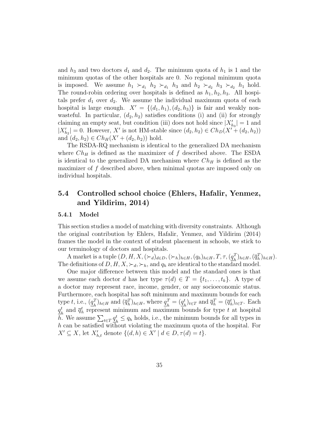and  $h_3$  and two doctors  $d_1$  and  $d_2$ . The minimum quota of  $h_1$  is 1 and the minimum quotas of the other hospitals are 0. No regional minimum quota is imposed. We assume  $h_1 \succ_{d_1} h_2 \succ_{d_1} h_3$  and  $h_2 \succ_{d_2} h_3 \succ_{d_2} h_1$  hold. The round-robin ordering over hospitals is defined as  $h_1, h_2, h_3$ . All hospitals prefer  $d_1$  over  $d_2$ . We assume the individual maximum quota of each hospital is large enough.  $X' = \{(d_1, h_1), (d_2, h_3)\}\$ is fair and weakly nonwasteful. In particular,  $(d_2, h_2)$  satisfies conditions (i) and (ii) for strongly claiming an empty seat, but condition (iii) does not hold since  $|X'_{h_3}| = 1$  and  $|X'_{h_2}| = 0$ . However, X' is not HM-stable since  $(d_2, h_2) \in Ch_D(X' + (d_2, h_2))$ and  $(d_2, h_2) \in Ch_H(X' + (d_2, h_2))$  hold.

The RSDA-RQ mechanism is identical to the generalized DA mechanism where  $Ch_H$  is defined as the maximizer of f described above. The ESDA is identical to the generalized DA mechanism where  $Ch_H$  is defined as the maximizer of f described above, when minimal quotas are imposed only on individual hospitals.

### 5.4 Controlled school choice (Ehlers, Hafalir, Yenmez, and Yildirim, 2014)

#### 5.4.1 Model

This section studies a model of matching with diversity constraints. Although the original contribution by Ehlers, Hafalir, Yenmez, and Yildirim (2014) frames the model in the context of student placement in schools, we stick to our terminology of doctors and hospitals.

A market is a tuple  $(D, H, X, (\succ_d)_{d \in D}, (\succ_h)_{h \in H}, (q_h)_{h \in H}, T, \tau, (\underline{q}_h^T)_{h \in H}, (\overline{q}_h^T)_{h \in H}).$ The definitions of  $D, H, X, \succ_d, \succ_h$ , and  $q_h$  are identical to the standard model.

One major difference between this model and the standard ones is that we assume each doctor d has her type  $\tau(d) \in T = \{t_1, \ldots, t_k\}$ . A type of a doctor may represent race, income, gender, or any socioeconomic status. Furthermore, each hospital has soft minimum and maximum bounds for each type t, i.e.,  $(q_{\mu}^{T})$  $\binom{T}{h}$ <sub>h∈H</sub> and  $(\overline{q}_h^T)$ <sub>h∈H</sub>, where  $\underline{q}_h^T$  $_{h}^{T}=(\underline{q}_{h}^{t}% ,\underline{q}_{h}^{t})_{h}^{T}=(\underline{q}_{h}^{t}+\underline{q}_{h}^{t})_{h}^{T}$  $\overline{a}_h^t$ <sub> $(t \in T$ </sub> and  $\overline{q}_h^T = (\overline{q}_h^t)_{t \in T}$ . Each  $q_i^t$  $\bar{q}_h^t$  and  $\bar{q}_h^t$  represent minimum and maximum bounds for type t at hospital  $\overline{h}$ . We assume  $\sum_{t \in T} \underline{q}_t^t$  $\frac{t}{h} \leq q_h$  holds, i.e., the minimum bounds for all types in h can be satisfied without violating the maximum quota of the hospital. For  $X' \subseteq X$ , let  $X'_{h,t}$  denote  $\{(d,h) \in X' \mid d \in D, \tau(d) = t\}.$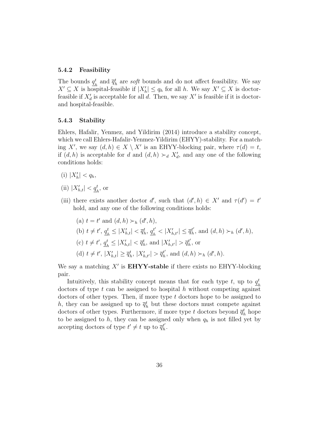#### 5.4.2 Feasibility

The bounds  $q_i^t$  $\frac{t}{h}$  and  $\overline{q}_h^t$  are *soft* bounds and do not affect feasibility. We say  $X' \subseteq X$  is hospital-feasible if  $|X'_h| \le q_h$  for all h. We say  $X' \subseteq X$  is doctorfeasible if  $X'_d$  is acceptable for all d. Then, we say  $X'$  is feasible if it is doctorand hospital-feasible.

#### 5.4.3 Stability

Ehlers, Hafalir, Yenmez, and Yildirim (2014) introduce a stability concept, which we call Ehlers-Hafalir-Yenmez-Yildirim (EHYY)-stability. For a matching X', we say  $(d, h) \in X \setminus X'$  is an EHYY-blocking pair, where  $\tau(d) = t$ , if  $(d, h)$  is acceptable for d and  $(d, h) \succ_d X'_d$ , and any one of the following conditions holds:

- (i)  $|X'_h| < q_h$ ,
- (ii)  $|X'_{h,t}| < \underline{q}_h^t$ , or
- (iii) there exists another doctor d', such that  $(d', h) \in X'$  and  $\tau(d') = t'$ hold, and any one of the following conditions holds:

(a) 
$$
t = t'
$$
 and  $(d, h) \succ_h (d', h)$ ,  
\n(b)  $t \neq t'$ ,  $\underline{q}_h^t \leq |X'_{h,t}| < \overline{q}_h^t$ ,  $\underline{q}_h^{t'} < |X'_{h,t'}| \leq \overline{q}_h^{t'}$ , and  $(d, h) \succ_h (d', h)$ ,  
\n(c)  $t \neq t'$ ,  $\underline{q}_h^t \leq |X'_{h,t}| < \overline{q}_h^t$ , and  $|X'_{h,t'}| > \overline{q}_h^{t'}$ , or  
\n(d)  $t \neq t'$ ,  $|X'_{h,t}| \geq \overline{q}_h^t$ ,  $|X'_{h,t'}| > \overline{q}_h^{t'}$ , and  $(d, h) \succ_h (d', h)$ .

We say a matching  $X'$  is **EHYY-stable** if there exists no EHYY-blocking pair.

Intuitively, this stability concept means that for each type  $t$ , up to  $q_t^t$ h doctors of type  $t$  can be assigned to hospital  $h$  without competing against doctors of other types. Then, if more type  $t$  doctors hope to be assigned to h, they can be assigned up to  $\bar{q}_h^t$  but these doctors must compete against doctors of other types. Furthermore, if more type  $t$  doctors beyond  $\overline{q}_h^t$  hope to be assigned to h, they can be assigned only when  $q_h$  is not filled yet by accepting doctors of type  $t' \neq t$  up to  $\overline{q}_h^{t'}$  $_{h}^{t^{\prime }}.$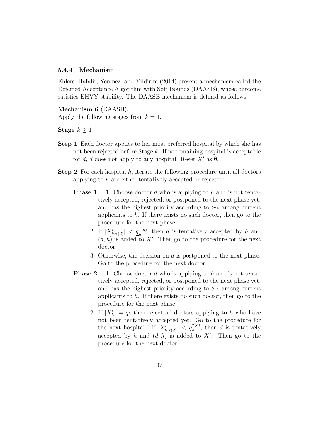#### 5.4.4 Mechanism

Ehlers, Hafalir, Yenmez, and Yildirim (2014) present a mechanism called the Deferred Acceptance Algorithm with Soft Bounds (DAASB), whose outcome satisfies EHYY-stability. The DAASB mechanism is defined as follows.

#### Mechanism 6 (DAASB).

Apply the following stages from  $k = 1$ .

Stage  $k > 1$ 

- Step 1 Each doctor applies to her most preferred hospital by which she has not been rejected before Stage  $k$ . If no remaining hospital is acceptable for d, d does not apply to any hospital. Reset  $X'$  as  $\emptyset$ .
- **Step 2** For each hospital  $h$ , iterate the following procedure until all doctors applying to h are either tentatively accepted or rejected:
	- **Phase 1:** 1. Choose doctor d who is applying to h and is not tentatively accepted, rejected, or postponed to the next phase yet, and has the highest priority according to  $\succ_h$  among current applicants to  $h$ . If there exists no such doctor, then go to the procedure for the next phase.
		- 2. If  $|X'_{h,\tau(d)}| < \underline{q}_h^{\tau(d)}$ , then d is tentatively accepted by h and  $(d, h)$  is added to X'. Then go to the procedure for the next doctor.
		- 3. Otherwise, the decision on  $d$  is postponed to the next phase. Go to the procedure for the next doctor.
	- **Phase 2:** 1. Choose doctor d who is applying to h and is not tentatively accepted, rejected, or postponed to the next phase yet, and has the highest priority according to  $\succ_h$  among current applicants to  $h$ . If there exists no such doctor, then go to the procedure for the next phase.
		- 2. If  $|X'_h| = q_h$  then reject all doctors applying to h who have not been tentatively accepted yet. Go to the procedure for the next hospital. If  $|X'_{h,\tau(d)}| < \overline{q}_h^{\tau(d)}$  $h^{(n)}$ , then d is tentatively accepted by h and  $(d, h)$  is added to X'. Then go to the procedure for the next doctor.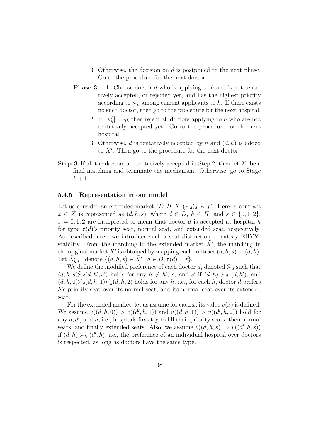- 3. Otherwise, the decision on  $d$  is postponed to the next phase. Go to the procedure for the next doctor.
- **Phase 3:** 1. Choose doctor d who is applying to h and is not tentatively accepted, or rejected yet, and has the highest priority according to  $\succ_h$  among current applicants to h. If there exists no such doctor, then go to the procedure for the next hospital.
	- 2. If  $|X'_h| = q_h$  then reject all doctors applying to h who are not tentatively accepted yet. Go to the procedure for the next hospital.
	- 3. Otherwise, d is tentatively accepted by h and  $(d, h)$  is added to X′ . Then go to the procedure for the next doctor.
- **Step 3** If all the doctors are tentatively accepted in Step 2, then let  $X'$  be a final matching and terminate the mechanism. Otherwise, go to Stage  $k+1$ .

#### 5.4.5 Representation in our model

Let us consider an extended market  $(D, H, \tilde{X}, (\tilde{\succ}_d)_{d \in D}, f)$ . Here, a contract  $x \in \tilde{X}$  is represented as  $(d, h, s)$ , where  $d \in D$ ,  $h \in H$ , and  $s \in \{0, 1, 2\}$ .  $s = 0, 1, 2$  are interpreted to mean that doctor d is accepted at hospital h for type  $\tau(d)$ 's priority seat, normal seat, and extended seat, respectively. As described later, we introduce such a seat distinction to satisfy EHYYstability. From the matching in the extended market  $\tilde{X}'$ , the matching in the original market X' is obtained by mapping each contract  $(d, h, s)$  to  $(d, h)$ . Let  $\tilde{X}'_{h,t,s}$  denote  $\{(d, h, s) \in \tilde{X}' \mid d \in D, \tau(d) = t\}.$ 

We define the modified preference of each doctor d, denoted  $\zeta_d$  such that  $(d, h, s) \stackrel{\sim}{\succ} _{d}(d, h', s')$  holds for any  $h \neq h'$ , s, and s' if  $(d, h) \succ_{d} (d, h')$ , and  $(d, h, 0)$  $\sum d(d, h, 1)$  $\sum d(d, h, 2)$  holds for any h, i.e., for each h, doctor d prefers h's priority seat over its normal seat, and its normal seat over its extended seat.

For the extended market, let us assume for each x, its value  $v(x)$  is defined. We assume  $v((d, h, 0)) > v((d', h, 1))$  and  $v((d, h, 1)) > v((d', h, 2))$  hold for any  $d, d'$ , and  $h$ , i.e., hospitals first try to fill their priority seats, then normal seats, and finally extended seats. Also, we assume  $v((d, h, s)) > v((d', h, s))$ if  $(d, h) \succ_h (d', h)$ , i.e., the preference of an individual hospital over doctors is respected, as long as doctors have the same type.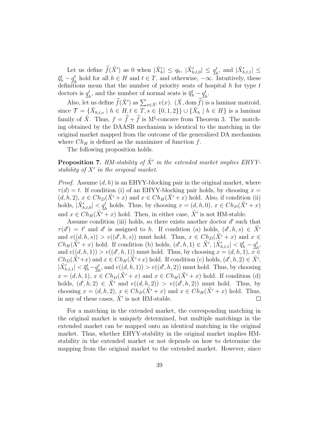Let us define  $\widehat{f}(\tilde{X}')$  as 0 when  $|\tilde{X}'_h| \le q_h$ ,  $|\tilde{X}'_{h,t,0}| \le \underline{q}_f^t$  $_{h}^{t}$ , and  $|\tilde{X}'_{h,t,1}| \leq$  $\overline{q}_h^t - \underline{q}_h^t$  hold for all  $h \in H$  and  $t \in T$ , and otherwise,  $-\infty$ . Intuitively, these  $\frac{q_h}{d}$  hold for an  $h \in \Pi$  and  $v \in \Gamma$ , and otherwise, see meanting, energy definitions mean that the number of priority seats of hospital h for type t doctors is  $q_t^t$  $\frac{t}{h}$ , and the number of normal seats is  $\overline{q}_{h}^{t} - \underline{q}_{h}^{t}$  $\frac{t}{h}$ .

Also, let us define  $\tilde{f}(\tilde{X}')$  as  $\sum_{x \in \tilde{X}'} v(x)$ .  $(\tilde{X}, \text{dom}\,\hat{f})$  is a laminar matroid, since  $\mathcal{T} = \{ \tilde{X}_{h,t,s} \mid h \in H, t \in T, s \in \{0,1,2\} \} \cup \{ \tilde{X}_h \mid h \in H \}$  is a laminar family of  $\tilde{X}$ . Thus,  $f = \hat{f} + \tilde{f}$  is M<sup> $\sharp$ </sup>-concave from Theorem 3. The matching obtained by the DAASB mechanism is identical to the matching in the original market mapped from the outcome of the generalized DA mechanism where  $Ch_H$  is defined as the maximizer of function f.

The following proposition holds.

**Proposition 7.** HM-stability of  $\tilde{X}'$  in the extended market implies EHYYstability of  $X'$  in the original market.

*Proof.* Assume  $(d, h)$  is an EHYY-blocking pair in the original market, where  $\tau(d) = t$ . If condition (i) of an EHYY-blocking pair holds, by choosing  $x =$  $(d, h, 2), x \in Ch_D(\tilde{X'} + x)$  and  $x \in Ch_H(\tilde{X'} + x)$  hold. Also, if condition (ii) holds,  $|\tilde{X}'_{h,t,0}| < \underline{q}_h^t$  holds. Thus, by choosing  $x = (d, h, 0), x \in Ch_D(\tilde{X}' + x)$ and  $x \in Ch_H(\tilde{X'} + x)$  hold. Then, in either case,  $\tilde{X}'$  is not HM-stable.

Assume condition (iii) holds, so there exists another doctor  $d'$  such that  $\tau(d') = t'$  and d' is assigned to h. If condition (a) holds,  $(d', h, s) \in \tilde{X}'$ and  $v((d,h,s)) > v((d',h,s))$  must hold. Thus,  $x \in Ch_D(\tilde{X'}+x)$  and  $x \in$  $Ch_H(\tilde{X'}+x)$  hold. If condition (b) holds,  $(d', h, 1) \in \tilde{X'}$ ,  $|\tilde{X}'_{h,t,1}| < \bar{q}_h^t - \underline{q}_f^t$  $_{h}^t,$ and  $v((d, h, 1)) > v((d', h, 1))$  must hold. Thus, by choosing  $x = (d, h, 1), x \in$  $Ch_D(\tilde{X'}+x)$  and  $x \in Ch_H(\tilde{X'}+x)$  hold. If condition (c) holds,  $(d', h, 2) \in \tilde{X'}$ ,  $|\tilde{X}'_{h,t,1}| < \overline{q}_h^t - \underline{q}_h^t$  $h_h^t$ , and  $v((d, h, 1)) > v((d', h, 2))$  must hold. Thus, by choosing  $x = (d, h, 1), x \in Ch_D(\tilde{X'} + x)$  and  $x \in Ch_H(\tilde{X'} + x)$  hold. If condition (d) holds,  $(d', h, 2) \in \tilde{X}'$  and  $v((d, h, 2)) > v((d', h, 2))$  must hold. Thus, by choosing  $x = (d, h, 2), x \in Ch_D(\tilde{X'} + x)$  and  $x \in Ch_H(\tilde{X'} + x)$  hold. Thus, in any of these cases,  $\tilde{X}'$  is not HM-stable.  $\Box$ 

For a matching in the extended market, the corresponding matching in the original market is uniquely determined, but multiple matchings in the extended market can be mapped onto an identical matching in the original market. Thus, whether EHYY-stability in the original market implies HMstability in the extended market or not depends on how to determine the mapping from the original market to the extended market. However, since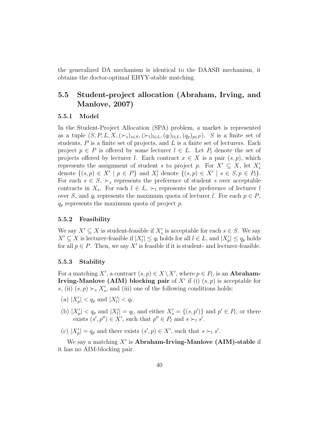the generalized DA mechanism is identical to the DAASB mechanism, it obtains the doctor-optimal EHYY-stable matching.

### 5.5 Student-project allocation (Abraham, Irving, and Manlove, 2007)

#### 5.5.1 Model

In the Student-Project Allocation (SPA) problem, a market is represented as a tuple  $(S, P, L, X, (\succ_s)_{s \in S}, (\succ_l)_{l \in L}, (q_l)_{l \in L}, (q_p)_{p \in P})$ . S is a finite set of students,  $P$  is a finite set of projects, and  $L$  is a finite set of lecturers. Each project  $p \in P$  is offered by some lecturer  $l \in L$ . Let  $P_l$  denote the set of projects offered by lecturer l. Each contract  $x \in X$  is a pair  $(s, p)$ , which represents the assignment of student s to project p. For  $X' \subseteq X$ , let  $X'_{s}$ denote  $\{(s,p)\in X' \mid p\in P\}$  and  $X'_{l}$  denote  $\{(s,p)\in X' \mid s\in S, p\in P_{l}\}.$ For each  $s \in S$ ,  $\succ_s$  represents the preference of student s over acceptable contracts in  $X_s$ . For each  $l \in L$ ,  $\succ_l$  represents the preference of lecturer l over S, and  $q_l$  represents the maximum quota of lecturer l. For each  $p \in P$ ,  $q_p$  represents the maximum quota of project p.

#### 5.5.2 Feasibility

We say  $X' \subseteq X$  is student-feasible if  $X'_{s}$  is acceptable for each  $s \in S$ . We say  $X' \subseteq X$  is lecturer-feasible if  $|X'_l| \le q_l$  holds for all  $l \in L$ , and  $|X'_p| \le q_p$  holds for all  $p \in P$ . Then, we say X' is feasible if it is student- and lecturer-feasible.

#### 5.5.3 Stability

For a matching X', a contract  $(s, p) \in X \setminus X'$ , where  $p \in P_l$ , is an **Abraham-Irving-Manlove (AIM) blocking pair** of  $X'$  if (i)  $(s, p)$  is acceptable for s, (ii)  $(s, p) \succ_s X'_s$ , and (iii) one of the following conditions holds:

- (a)  $|X'_p| < q_p$  and  $|X'_l| < q_l$ .
- (b)  $|X'_p| < q_p$  and  $|X'_l| = q_l$ , and either  $X'_s = \{(s, p')\}$  and  $p' \in P_l$ , or there exists  $(s', p'') \in X'$ , such that  $p'' \in P_l$  and  $s \succ_l s'$ .
- (c)  $|X'_p| = q_p$  and there exists  $(s', p) \in X'$ , such that  $s \succ_l s'$ .

We say a matching  $X'$  is Abraham-Irving-Manlove (AIM)-stable if it has no AIM-blocking pair.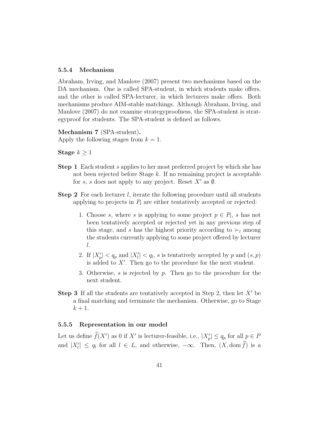#### 5.5.4 Mechanism

Abraham, Irving, and Manlove (2007) present two mechanisms based on the DA mechanism. One is called SPA-student, in which students make offers, and the other is called SPA-lecturer, in which lecturers make offers. Both mechanisms produce AIM-stable matchings. Although Abraham, Irving, and Manlove (2007) do not examine strategyproofness, the SPA-student is strategyproof for students. The SPA-student is defined as follows.

Mechanism 7 (SPA-student). Apply the following stages from  $k = 1$ .

Stage  $k \geq 1$ 

- Step 1 Each student s applies to her most preferred project by which she has not been rejected before Stage k. If no remaining project is acceptable for s, s does not apply to any project. Reset  $X'$  as  $\emptyset$ .
- **Step 2** For each lecturer  $l$ , iterate the following procedure until all students applying to projects in  $P_l$  are either tentatively accepted or rejected:
	- 1. Choose s, where s is applying to some project  $p \in P_l$ , s has not been tentatively accepted or rejected yet in any previous step of this stage, and s has the highest priority according to  $\succ_l$  among the students currently applying to some project offered by lecturer l.
	- 2. If  $|X'_p| < q_p$  and  $|X'_l| < q_l$ , s is tentatively accepted by p and  $(s, p)$ is added to  $X'$ . Then go to the procedure for the next student.
	- 3. Otherwise, s is rejected by p. Then go to the procedure for the next student.
- **Step 3** If all the students are tentatively accepted in Step 2, then let  $X'$  be a final matching and terminate the mechanism. Otherwise, go to Stage  $k+1$ .

#### 5.5.5 Representation in our model

Let us define  $\widehat{f}(X')$  as 0 if X' is lecturer-feasible, i.e.,  $|X'_p| \le q_p$  for all  $p \in P$ and  $|X'_l| \leq q_l$  for all  $l \in L$ , and otherwise,  $-\infty$ . Then,  $(X, \text{dom } f)$  is a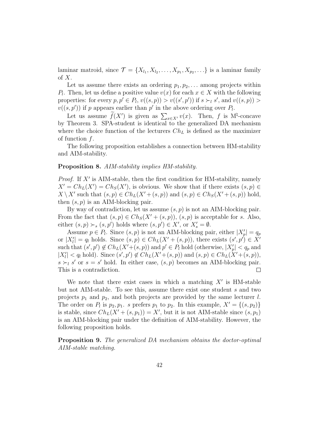laminar matroid, since  $\mathcal{T} = \{X_{l_1}, X_{l_2}, \ldots, X_{p_1}, X_{p_2}, \ldots\}$  is a laminar family of  $X$ .

Let us assume there exists an ordering  $p_1, p_2, \ldots$  among projects within P<sub>l</sub>. Then, let us define a positive value  $v(x)$  for each  $x \in X$  with the following properties: for every  $p, p' \in P_l$ ,  $v((s, p)) > v((s', p'))$  if  $s \succ_l s'$ , and  $v((s, p)) >$  $v((s, p'))$  if p appears earlier than p' in the above ordering over  $P_l$ .

Let us assume  $\widetilde{f}(X')$  is given as  $\sum_{x \in X'} v(x)$ . Then, f is M<sup> $\sharp$ </sup>-concave by Theorem 3. SPA-student is identical to the generalized DA mechanism where the choice function of the lecturers  $Ch<sub>L</sub>$  is defined as the maximizer of function  $f$ .

The following proposition establishes a connection between HM-stability and AIM-stability.

#### Proposition 8. AIM-stability implies HM-stability.

*Proof.* If  $X'$  is AIM-stable, then the first condition for HM-stability, namely  $X' = Ch_L(X') = Ch_S(X')$ , is obvious. We show that if there exists  $(s, p) \in$  $X \setminus X'$  such that  $(s, p) \in Ch_L(X' + (s, p))$  and  $(s, p) \in Ch_S(X' + (s, p))$  hold, then  $(s, p)$  is an AIM-blocking pair.

By way of contradiction, let us assume  $(s, p)$  is not an AIM-blocking pair. From the fact that  $(s, p) \in Ch_S(X' + (s, p)), (s, p)$  is acceptable for s. Also, either  $(s, p) \succ_s (s, p')$  holds where  $(s, p') \in X'$ , or  $X'_s = \emptyset$ .

Assume  $p \in P_l$ . Since  $(s, p)$  is not an AIM-blocking pair, either  $|X'_p| = q_p$ or  $|X'_l| = q_l$  holds. Since  $(s, p) \in Ch_L(X' + (s, p))$ , there exists  $(s', p') \in X'$ such that  $(s', p') \notin Ch_L(X'+(s, p))$  and  $p' \in P_l$  hold (otherwise,  $|X'_p| < q_p$  and  $|X'_l| < q_l$  hold). Since  $(s', p') \notin Ch_L(X'+(s, p))$  and  $(s, p) \in Ch_L(X'+(s, p)),$  $s \succ_l s'$  or  $s = s'$  hold. In either case,  $(s, p)$  becomes an AIM-blocking pair. This is a contradiction.  $\Box$ 

We note that there exist cases in which a matching  $X'$  is HM-stable but not AIM-stable. To see this, assume there exist one student s and two projects  $p_1$  and  $p_2$ , and both projects are provided by the same lecturer l. The order on  $P_l$  is  $p_2, p_1$ . s prefers  $p_1$  to  $p_2$ . In this example,  $X' = \{(s, p_2)\}\$ is stable, since  $Ch_L(X' + (s, p_1)) = X'$ , but it is not AIM-stable since  $(s, p_1)$ is an AIM-blocking pair under the definition of AIM-stability. However, the following proposition holds.

Proposition 9. The generalized DA mechanism obtains the doctor-optimal AIM-stable matching.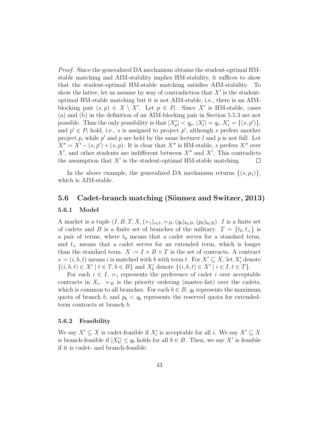Proof. Since the generalized DA mechanism obtains the student-optimal HMstable matching and AIM-stability implies HM-stability, it suffices to show that the student-optimal HM-stable matching satisfies AIM-stability. To show the latter, let us assume by way of contradiction that  $X'$  is the studentoptimal HM-stable matching but it is not AIM-stable, i.e., there is an AIMblocking pair  $(s, p) \in X \setminus X'$ . Let  $p \in P_l$ . Since X' is HM-stable, cases (a) and (b) in the definition of an AIM-blocking pair in Section 5.5.3 are not possible. Thus the only possibility is that  $|X'_p| < q_p$ ,  $|X'_l| = q_l$ ,  $X'_s = \{(s, p')\},\$ and  $p' \in P_l$  hold, i.e., s is assigned to project p', although s prefers another project p, while  $p'$  and p are held by the same lecturer l and p is not full. Let  $X'' = X' - (s, p') + (s, p)$ . It is clear that X'' is HM-stable, s prefers X'' over  $X'$ , and other students are indifferent between  $X''$  and  $X'$ . This contradicts the assumption that  $X'$  is the student-optimal HM-stable matching.  $\Box$ 

In the above example, the generalized DA mechanism returns  $\{(s,p_1)\}\,$ , which is AIM-stable.

#### 5.6 Cadet-branch matching (Sönmez and Switzer, 2013)

#### 5.6.1 Model

A market is a tuple  $(I, B, T, X, (\succ_i)_{i \in I}, \succ_B, (q_b)_{b \in B}, (p_b)_{b \in B})$ . I is a finite set of cadets and B is a finite set of branches of the military.  $T = \{t_0, t_+\}$  is a pair of terms, where  $t_0$  means that a cadet serves for a standard term, and  $t_{+}$  means that a cadet serves for an extended term, which is longer than the standard term.  $X := I \times B \times T$  is the set of contracts. A contract  $x = (i, b, t)$  means i is matched with b with term t. For  $X' \subseteq X$ , let  $X'_{i}$  denote  $\{(i, b, t) \in X' \mid t \in T, b \in B\}$  and  $X'_{b}$  denote  $\{(i, b, t) \in X' \mid i \in I, t \in T\}$ .

For each  $i \in I$ ,  $\succ_i$  represents the preference of cadet i over acceptable contracts in  $X_i$ .  $\succ_B$  is the priority ordering (master-list) over the cadets, which is common to all branches. For each  $b \in B$ ,  $q_b$  represents the maximum quota of branch b, and  $p_b < q_b$  represents the reserved quota for extendedterm contracts at branch b.

#### 5.6.2 Feasibility

We say  $X' \subseteq X$  is cadet-feasible if  $X'_i$  is acceptable for all *i*. We say  $X' \subseteq X$ is branch-feasible if  $|X'_b| \le q_b$  holds for all  $b \in B$ . Then, we say X' is feasible if it is cadet- and branch-feasible.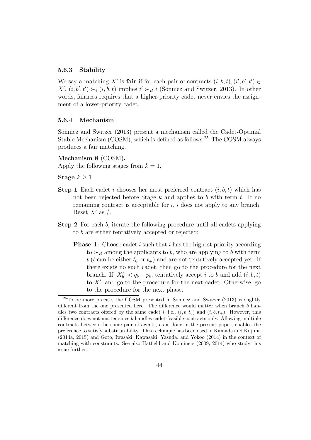#### 5.6.3 Stability

We say a matching X' is **fair** if for each pair of contracts  $(i, b, t)$ ,  $(i', b', t') \in$  $X'$ ,  $(i, b', t') \succ_i (i, b, t)$  implies  $i' \succ_B i$  (Sönmez and Switzer, 2013). In other words, fairness requires that a higher-priority cadet never envies the assignment of a lower-priority cadet.

#### 5.6.4 Mechanism

Sönmez and Switzer (2013) present a mechanism called the Cadet-Optimal Stable Mechanism (COSM), which is defined as follows.<sup>25</sup> The COSM always produces a fair matching.

Mechanism 8 (COSM).

Apply the following stages from  $k = 1$ .

Stage  $k \geq 1$ 

- **Step 1** Each cadet i chooses her most preferred contract  $(i, b, t)$  which has not been rejected before Stage  $k$  and applies to  $b$  with term  $t$ . If no remaining contract is acceptable for  $i$ ,  $i$  does not apply to any branch. Reset  $X'$  as  $\emptyset$ .
- Step 2 For each b, iterate the following procedure until all cadets applying to b are either tentatively accepted or rejected:
	- **Phase 1:** Choose cadet i such that i has the highest priority according to  $\succ_B$  among the applicants to b, who are applying to b with term t (t can be either  $t_0$  or  $t_+$ ) and are not tentatively accepted yet. If there exists no such cadet, then go to the procedure for the next branch. If  $|X'_b| < q_b - p_b$ , tentatively accept i to b and add  $(i, b, t)$ to X′ , and go to the procedure for the next cadet. Otherwise, go to the procedure for the next phase.

 $^{25}$ To be more precise, the COSM presented in Sönmez and Switzer (2013) is slightly different from the one presented here. The difference would matter when branch b handles two contracts offered by the same cadet i, i.e.,  $(i, b, t_0)$  and  $(i, b, t_+)$ . However, this difference does not matter since b handles cadet-feasible contracts only. Allowing multiple contracts between the same pair of agents, as is done in the present paper, enables the preference to satisfy substitutability. This technique has been used in Kamada and Kojima (2014a, 2015) and Goto, Iwasaki, Kawasaki, Yasuda, and Yokoo (2014) in the context of matching with constraints. See also Hatfield and Kominers (2009, 2014) who study this issue further.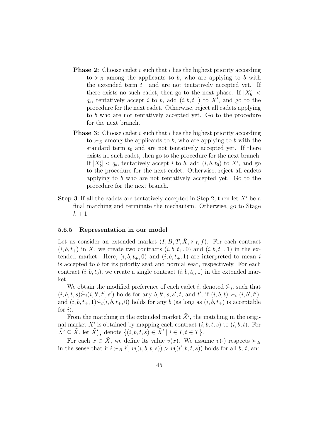- **Phase 2:** Choose cadet i such that i has the highest priority according to  $\succ_B$  among the applicants to b, who are applying to b with the extended term  $t_{+}$  and are not tentatively accepted yet. If there exists no such cadet, then go to the next phase. If  $|X'_b|$  <  $q_b$ , tentatively accept i to b, add  $(i, b, t_+)$  to X', and go to the procedure for the next cadet. Otherwise, reject all cadets applying to b who are not tentatively accepted yet. Go to the procedure for the next branch.
- **Phase 3:** Choose cadet i such that i has the highest priority according to  $\succ_B$  among the applicants to b, who are applying to b with the standard term  $t_0$  and are not tentatively accepted yet. If there exists no such cadet, then go to the procedure for the next branch. If  $|X'_b| < q_b$ , tentatively accept i to b, add  $(i, b, t_0)$  to X', and go to the procedure for the next cadet. Otherwise, reject all cadets applying to b who are not tentatively accepted yet. Go to the procedure for the next branch.
- **Step 3** If all the cadets are tentatively accepted in Step 2, then let  $X'$  be a final matching and terminate the mechanism. Otherwise, go to Stage  $k+1$ .

#### 5.6.5 Representation in our model

Let us consider an extended market  $(I, B, T, \tilde{X}, \tilde{\succ}_I, f)$ . For each contract  $(i, b, t<sub>+</sub>)$  in X, we create two contracts  $(i, b, t<sub>+</sub>, 0)$  and  $(i, b, t<sub>+</sub>, 1)$  in the extended market. Here,  $(i, b, t_+, 0)$  and  $(i, b, t_+, 1)$  are interpreted to mean i is accepted to b for its priority seat and normal seat, respectively. For each contract  $(i, b, t_0)$ , we create a single contract  $(i, b, t_0, 1)$  in the extended market.

We obtain the modified preference of each cadet i, denoted  $\tilde{\succ}_i$ , such that  $(i, b, t, s) \tilde{\succ}_i(i, b', t', s')$  holds for any  $b, b', s, s', t$ , and  $t'$ , if  $(i, b, t) \succ_i (i, b', t')$ , and  $(i, b, t_+, 1) \Sigma_i(i, b, t_+, 0)$  holds for any b (as long as  $(i, b, t_+)$ ) is acceptable for  $i$ ).

From the matching in the extended market  $\tilde{X}'$ , the matching in the original market X' is obtained by mapping each contract  $(i, b, t, s)$  to  $(i, b, t)$ . For  $\tilde{X'} \subseteq \tilde{X}$ , let  $\tilde{X}'_{b,s}$  denote  $\{(i, b, t, s) \in \tilde{X}' \mid i \in I, t \in T\}$ .

For each  $x \in \tilde{X}$ , we define its value  $v(x)$ . We assume  $v(\cdot)$  respects  $\succ_B$ in the sense that if  $i \succ_B i'$ ,  $v((i, b, t, s)) > v((i', b, t, s))$  holds for all b, t, and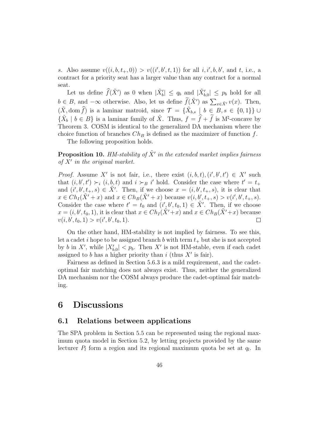s. Also assume  $v((i, b, t_+, 0)) > v((i', b', t, 1))$  for all  $i, i', b, b',$  and  $t,$  i.e., a contract for a priority seat has a larger value than any contract for a normal seat.

Let us define  $\widehat{f}(\tilde{X}')$  as 0 when  $|\tilde{X}'_b| \le q_b$  and  $|\tilde{X}'_{b,0}| \le p_b$  hold for all  $b \in B$ , and  $-\infty$  otherwise. Also, let us define  $\widetilde{f}(\widetilde{X}')$  as  $\sum_{x \in \widetilde{X}'} v(x)$ . Then,  $(\tilde{X}, \text{dom}\,\widehat{f})$  is a laminar matroid, since  $\mathcal{T} = {\{\tilde{X}_{b,s} \mid b \in B, s \in \{0,1\}\}\cup\}$  $\{\tilde{X}_b \mid b \in B\}$  is a laminar family of  $\tilde{X}$ . Thus,  $f = \hat{f} + \tilde{f}$  is M<sup>†</sup>-concave by Theorem 3. COSM is identical to the generalized DA mechanism where the choice function of branches  $Ch_B$  is defined as the maximizer of function f.

The following proposition holds.

**Proposition 10.** HM-stability of  $\tilde{X}'$  in the extended market implies fairness of X′ in the original market.

*Proof.* Assume X' is not fair, i.e., there exist  $(i, b, t), (i', b', t') \in X'$  such that  $(i, b', t') \succ_i (i, b, t)$  and  $i \succ_B i'$  hold. Consider the case where  $t' = t_+$ and  $(i',b',t_+,s) \in \tilde{X}'$ . Then, if we choose  $x = (i,b',t_+,s)$ , it is clear that  $x \in Ch_I(\tilde{X'}+x)$  and  $x \in Ch_B(\tilde{X'}+x)$  because  $v(i, b', t_+, s) > v(i', b', t_+, s)$ . Consider the case where  $t' = t_0$  and  $(i', b', t_0, 1) \in \tilde{X}'$ . Then, if we choose  $x = (i, b', t_0, 1)$ , it is clear that  $x \in Ch_I(\tilde{X}' + x)$  and  $x \in Ch_B(\tilde{X}' + x)$  because  $v(i, b', t_0, 1) > v(i', b', t_0, 1).$  $\Box$ 

On the other hand, HM-stability is not implied by fairness. To see this, let a cadet i hope to be assigned branch b with term  $t_{+}$  but she is not accepted by b in X', while  $|X'_{b,0}| < p_b$ . Then X' is not HM-stable, even if each cadet assigned to b has a higher priority than i (thus  $X'$  is fair).

Fairness as defined in Section 5.6.3 is a mild requirement, and the cadetoptimal fair matching does not always exist. Thus, neither the generalized DA mechanism nor the COSM always produce the cadet-optimal fair matching.

## 6 Discussions

#### 6.1 Relations between applications

The SPA problem in Section 5.5 can be represented using the regional maximum quota model in Section 5.2, by letting projects provided by the same lecturer  $P_l$  form a region and its regional maximum quota be set at  $q_l$ . In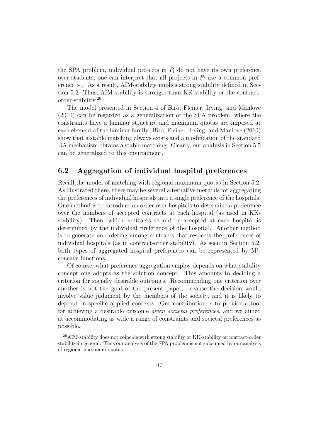the SPA problem, individual projects in  $P_l$  do not have its own preference over students; one can interpret that all projects in  $P_l$  use a common preference  $\succ_l$ . As a result, AIM-stability implies strong stability defined in Section 5.2. Thus, AIM-stability is stronger than KK-stability or the contractorder-stability.<sup>26</sup>

The model presented in Section 4 of Biro, Fleiner, Irving, and Manlove (2010) can be regarded as a generalization of the SPA problem, where the constraints have a laminar structure and maximum quotas are imposed at each element of the laminar family. Biro, Fleiner, Irving, and Manlove (2010) show that a stable matching always exists and a modification of the standard DA mechanism obtains a stable matching. Clearly, our analysis in Section 5.5 can be generalized to this environment.

### 6.2 Aggregation of individual hospital preferences

Recall the model of matching with regional maximum quotas in Section 5.2. As illustrated there, there may be several alternative methods for aggregating the preferences of individual hospitals into a single preference of the hospitals. One method is to introduce an order over hospitals to determine a preference over the numbers of accepted contracts at each hospital (as used in KKstability). Then, which contracts should be accepted at each hospital is determined by the individual preference of the hospital. Another method is to generate an ordering among contracts that respects the preferences of individual hospitals (as in contract-order stability). As seen in Section 5.2, both types of aggregated hospital preferences can be represented by  $M^{\sharp}$ concave functions.

Of course, what preference aggregation employ depends on what stability concept one adopts as the solution concept. This amounts to deciding a criterion for socially desirable outcomes. Recommending one criterion over another is not the goal of the present paper, because the decision would involve value judgment by the members of the society, and it is likely to depend on specific applied contexts. Our contribution is to provide a tool for achieving a desirable outcome given societal preferences, and we aimed at accommodating as wide a range of constraints and societal preferences as possible.

<sup>26</sup>AIM-stability does not coincide with strong stability or KK-stability or contract-order stability in general. Thus our analysis of the SPA problem is not subsumed by our analysis of regional maximum quotas.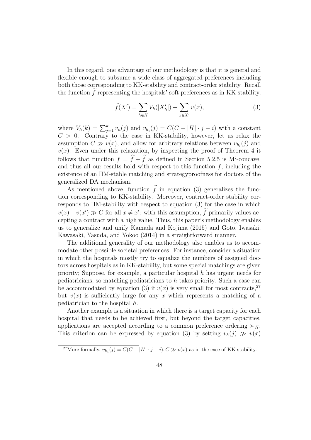In this regard, one advantage of our methodology is that it is general and flexible enough to subsume a wide class of aggregated preferences including both those corresponding to KK-stability and contract-order stability. Recall the function  $f$  representing the hospitals' soft preferences as in KK-stability,

$$
\widetilde{f}(X') = \sum_{h \in H} V_h(|X'_h|) + \sum_{x \in X'} v(x),\tag{3}
$$

where  $V_h(k) = \sum_{j=1}^k v_h(j)$  and  $v_{h_i}(j) = C(C - |H| \cdot j - i)$  with a constant  $C > 0$ . Contrary to the case in KK-stability, however, let us relax the assumption  $C \gg v(x)$ , and allow for arbitrary relations between  $v_{h_i}(j)$  and  $v(x)$ . Even under this relaxation, by inspecting the proof of Theorem 4 it follows that function  $f = \hat{f} + \hat{f}$  as defined in Section 5.2.5 is M<sup> $\sharp$ </sup>-concave, and thus all our results hold with respect to this function  $f$ , including the existence of an HM-stable matching and strategyproofness for doctors of the generalized DA mechanism.

As mentioned above, function  $\tilde{f}$  in equation (3) generalizes the function corresponding to KK-stability. Moreover, contract-order stability corresponds to HM-stability with respect to equation (3) for the case in which  $v(x) - v(x') \gg C$  for all  $x \neq x'$ : with this assumption, f primarily values accepting a contract with a high value. Thus, this paper's methodology enables us to generalize and unify Kamada and Kojima (2015) and Goto, Iwasaki, Kawasaki, Yasuda, and Yokoo (2014) in a straightforward manner.

The additional generality of our methodology also enables us to accommodate other possible societal preferences. For instance, consider a situation in which the hospitals mostly try to equalize the numbers of assigned doctors across hospitals as in KK-stability, but some special matchings are given priority; Suppose, for example, a particular hospital h has urgent needs for pediatricians, so matching pediatricians to h takes priority. Such a case can be accommodated by equation (3) if  $v(x)$  is very small for most contracts,<sup>27</sup> but  $v(x)$  is sufficiently large for any x which represents a matching of a pediatrician to the hospital h.

Another example is a situation in which there is a target capacity for each hospital that needs to be achieved first, but beyond the target capacities, applications are accepted according to a common preference ordering  $\succ_H$ . This criterion can be expressed by equation (3) by setting  $v_h(j) \gg v(x)$ 

<sup>&</sup>lt;sup>27</sup>More formally,  $v_{h_i}(j) = C(C - |H| \cdot j - i), C \gg v(x)$  as in the case of KK-stability.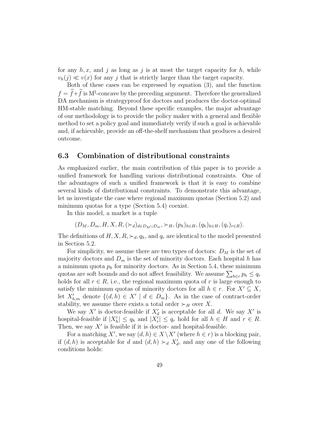for any  $h, x$ , and j as long as j is at most the target capacity for h, while  $v_h(i) \ll v(x)$  for any j that is strictly larger than the target capacity.

Both of these cases can be expressed by equation (3), and the function  $f = \hat{f} + \hat{f}$  is  $M^{\natural}$ -concave by the preceding argument. Therefore the generalized DA mechanism is strategyproof for doctors and produces the doctor-optimal HM-stable matching. Beyond these specific examples, the major advantage of our methodology is to provide the policy maker with a general and flexible method to set a policy goal and immediately verify if such a goal is achievable and, if achievable, provide an off-the-shelf mechanism that produces a desired outcome.

### 6.3 Combination of distributional constraints

As emphasized earlier, the main contribution of this paper is to provide a unified framework for handling various distributional constraints. One of the advantages of such a unified framework is that it is easy to combine several kinds of distributional constraints. To demonstrate this advantage, let us investigate the case where regional maximum quotas (Section 5.2) and minimum quotas for a type (Section 5.4) coexist.

In this model, a market is a tuple

 $(D_M, D_m, H, X, R, (\succ_d)_{d \in D_M \cup D_m}, \succ_H, (p_h)_{h \in H}, (q_h)_{h \in H}, (q_r)_{r \in R}).$ 

The definitions of  $H, X, R, \succ_d, q_h$ , and  $q_r$  are identical to the model presented in Section 5.2.

For simplicity, we assume there are two types of doctors:  $D_M$  is the set of majority doctors and  $D_m$  is the set of minority doctors. Each hospital h has a minimum quota  $p_h$  for minority doctors. As in Section 5.4, these minimum quotas are soft bounds and do not affect feasibility. We assume  $\sum_{h \in r} p_h \leq q_r$ holds for all  $r \in R$ , i.e., the regional maximum quota of r is large enough to satisfy the minimum quotas of minority doctors for all  $h \in r$ . For  $X' \subseteq X$ , let  $X'_{h,m}$  denote  $\{(d,h) \in X' \mid d \in D_m\}$ . As in the case of contract-order stability, we assume there exists a total order  $\succ_H$  over X.

We say X' is doctor-feasible if  $X'_d$  is acceptable for all d. We say X' is hospital-feasible if  $|X'_h| \le q_h$  and  $|X'_r| \le q_r$  hold for all  $h \in H$  and  $r \in R$ . Then, we say  $X'$  is feasible if it is doctor- and hospital-feasible.

For a matching X', we say  $(d, h) \in X \backslash X'$  (where  $h \in r$ ) is a blocking pair, if  $(d, h)$  is acceptable for d and  $(d, h) \succ_d X'_d$ , and any one of the following conditions holds: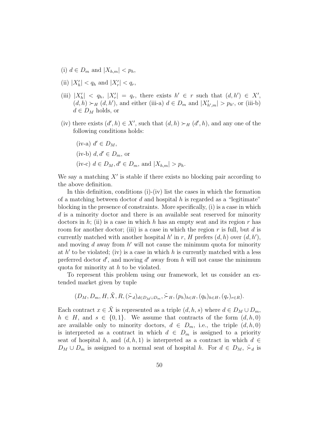- (i)  $d \in D_m$  and  $|X_{h,m}| < p_h$ ,
- (ii)  $|X'_h| < q_h$  and  $|X'_r| < q_r$ ,
- (iii)  $|X'_h| \le q_h$ ,  $|X'_r| = q_r$ , there exists  $h' \in r$  such that  $(d, h') \in X'$ ,  $(d, h) \succ_H (d, h')$ , and either (iii-a)  $d \in D_m$  and  $|X'_{h',m}| > p_{h'}$ , or (iii-b)  $d \in D_M$  holds, or
- (iv) there exists  $(d', h) \in X'$ , such that  $(d, h) \succ_H (d', h)$ , and any one of the following conditions holds:

(iv-a) 
$$
d' \in D_M
$$
,  
(iv-b)  $d, d' \in D_m$ , or  
(iv-c)  $d \in D_M$ ,  $d' \in D_m$ , and  $|X_{h,m}| > p_h$ .

We say a matching  $X'$  is stable if there exists no blocking pair according to the above definition.

In this definition, conditions  $(i)-(iv)$  list the cases in which the formation of a matching between doctor  $d$  and hospital  $h$  is regarded as a "legitimate" blocking in the presence of constraints. More specifically, (i) is a case in which d is a minority doctor and there is an available seat reserved for minority doctors in  $h$ ; (ii) is a case in which h has an empty seat and its region r has room for another doctor; (iii) is a case in which the region  $r$  is full, but  $d$  is currently matched with another hospital  $h'$  in r, H prefers  $(d, h)$  over  $(d, h')$ , and moving  $d$  away from  $h'$  will not cause the minimum quota for minority at  $h'$  to be violated; (iv) is a case in which h is currently matched with a less preferred doctor  $d'$ , and moving  $d'$  away from h will not cause the minimum quota for minority at h to be violated.

To represent this problem using our framework, let us consider an extended market given by tuple

$$
(D_M, D_m, H, \tilde{X}, R, (\tilde{\succ}_d)_{d \in D_M \cup D_m}, \tilde{\succ}_H, (p_h)_{h \in H}, (q_h)_{h \in H}, (q_r)_{r \in R}).
$$

Each contract  $x \in \tilde{X}$  is represented as a triple  $(d, h, s)$  where  $d \in D_M \cup D_m$ ,  $h \in H$ , and  $s \in \{0,1\}$ . We assume that contracts of the form  $(d, h, 0)$ are available only to minority doctors,  $d \in D_m$ , i.e., the triple  $(d, h, 0)$ is interpreted as a contract in which  $d \in D_m$  is assigned to a priority seat of hospital h, and  $(d, h, 1)$  is interpreted as a contract in which  $d \in$  $D_M \cup D_m$  is assigned to a normal seat of hospital h. For  $d \in D_M$ ,  $\zeta_d$  is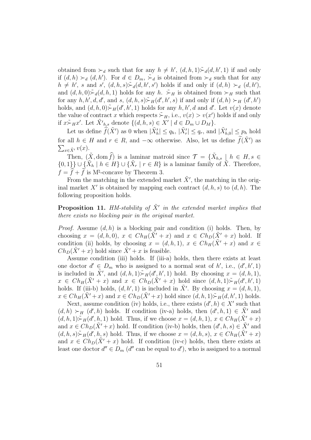obtained from  $\succ_d$  such that for any  $h \neq h'$ ,  $(d, h, 1) \xrightarrow{\sim} d(d, h', 1)$  if and only if  $(d, h) \succ_d (d, h')$ . For  $d \in D_m$ ,  $\tilde{\succ}_d$  is obtained from  $\succ_d$  such that for any  $h \neq h'$ , s and s',  $(d, h, s) \rightarrow d(d, h', s')$  holds if and only if  $(d, h) \rightarrow d(d, h')$ , and  $(d, h, 0) \rightharpoonup_d (d, h, 1)$  holds for any h.  $\rightharpoonup_H$  is obtained from  $\succ_H$  such that for any  $h, h', d, d'$ , and  $s, (d, h, s) \stackrel{\sim}{\succ} _H(d', h', s)$  if and only if  $(d, h) \succ_H(d', h')$ holds, and  $(d, h, 0) \rightarrow H(d', h', 1)$  holds for any  $h, h', d$  and  $d'$ . Let  $v(x)$  denote the value of contract x which respects  $\tilde{\succ}_H$ , i.e.,  $v(x) > v(x')$  holds if and only if  $x \sim_H x'$ . Let  $\tilde{X'}_{h,s}$  denote  $\{(d, h, s) \in X' \mid d \in D_m \cup D_M\}.$ 

Let us define  $\widehat{f}(\tilde{X}')$  as 0 when  $|\tilde{X}'_h| \le q_h$ ,  $|\tilde{X}'_r| \le q_r$ , and  $|\tilde{X}'_{h,0}| \le p_h$  hold for all  $h \in H$  and  $r \in R$ , and  $-\infty$  otherwise. Also, let us define  $\widetilde{f}(\tilde{X}')$  as  $\sum_{x \in \tilde{X}'} v(x)$ .

Then,  $(\tilde{X}, \text{dom}\,\hat{f})$  is a laminar matroid since  $\mathcal{T} = {\{\tilde{X}_{h,s}\mid h \in H, s \in \mathcal{F}\}}$  $\{0,1\}\}\cup\{\tilde{X}_h\mid h\in H\}\cup\{\tilde{X}_r\mid r\in R\}$  is a laminar family of  $\tilde{X}$ . Therefore,  $f = \hat{f} + \hat{f}$  is M<sup>†</sup>-concave by Theorem 3.

From the matching in the extended market  $\tilde{X}'$ , the matching in the original market X' is obtained by mapping each contract  $(d, h, s)$  to  $(d, h)$ . The following proposition holds.

**Proposition 11.** HM-stability of  $\tilde{X}'$  in the extended market implies that there exists no blocking pair in the original market.

*Proof.* Assume  $(d, h)$  is a blocking pair and condition (i) holds. Then, by choosing  $x = (d, h, 0), x \in Ch_H(\tilde{X}' + x)$  and  $x \in Ch_D(\tilde{X}' + x)$  hold. If condition (ii) holds, by choosing  $x = (d, h, 1), x \in Ch_H(\tilde{X}' + x)$  and  $x \in$  $Ch_D(\tilde{X}' + x)$  hold since  $\tilde{X}' + x$  is feasible.

Assume condition (iii) holds. If (iii-a) holds, then there exists at least one doctor  $d' \in D_m$  who is assigned to a normal seat of h', i.e.,  $(d', h', 1)$ is included in  $\tilde{X}'$ , and  $(d, h, 1) \tilde{F}_H(d', h', 1)$  hold. By choosing  $x = (d, h, 1)$ ,  $x \in Ch_H(\tilde{X}' + x)$  and  $x \in Ch_D(\tilde{X}' + x)$  hold since  $(d, h, 1) \r F_H(d', h', 1)$ holds. If (iii-b) holds,  $(d, h', 1)$  is included in  $\tilde{X}'$ . By choosing  $x = (d, h, 1)$ ,  $x \in Ch_H(\tilde{X}' + x)$  and  $x \in Ch_D(\tilde{X}' + x)$  hold since  $(d, h, 1) \r F_H(d, h', 1)$  holds.

Next, assume condition (iv) holds, i.e., there exists  $(d', h) \in X'$  such that  $(d, h) \succ_H (d', h)$  holds. If condition (iv-a) holds, then  $(d', h, 1) \in \tilde{X}'$  and  $(d, h, 1) \rightarrow H(d', h, 1)$  hold. Thus, if we choose  $x = (d, h, 1), x \in Ch_H(\tilde{X}' + x)$ and  $x \in Ch_D(\tilde{X}'+x)$  hold. If condition (iv-b) holds, then  $(d', h, s) \in \tilde{X}'$  and  $(d, h, s) \stackrel{\sim}{\succ} _H(d', h, s)$  hold. Thus, if we choose  $x = (d, h, s), x \in Ch_H(\tilde{X}' + x)$ and  $x \in Ch_D(\tilde{X}' + x)$  hold. If condition (iv-c) holds, then there exists at least one doctor  $d'' \in D_m$  (d'' can be equal to d'), who is assigned to a normal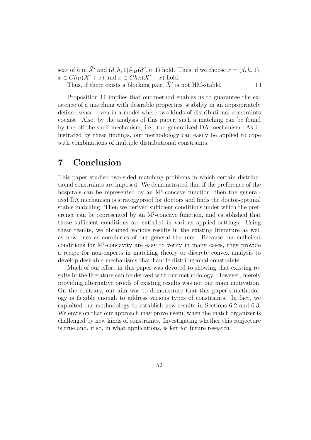seat of h in  $\tilde{X}'$  and  $(d, h, 1) \overset{\sim}{\succ} _H(d'', h, 1)$  hold. Thus, if we choose  $x = (d, h, 1)$ ,  $x \in Ch_H(\tilde{X}' + x)$  and  $x \in Ch_D(\tilde{X}' + x)$  hold.  $\Box$ 

Thus, if there exists a blocking pair,  $\tilde{X}'$  is not HM-stable.

Proposition 11 implies that our method enables us to guarantee the existence of a matching with desirable properties–stability in an appropriately defined sense– even in a model where two kinds of distributional constraints coexist. Also, by the analysis of this paper, such a matching can be found by the off-the-shelf mechanism, i.e., the generalized DA mechanism. As illustrated by these findings, our methodology can easily be applied to cope with combinations of multiple distributional constraints.

## 7 Conclusion

This paper studied two-sided matching problems in which certain distributional constraints are imposed. We demonstrated that if the preference of the hospitals can be represented by an  $M^{\natural}$ -concave function, then the generalized DA mechanism is strategyproof for doctors and finds the doctor-optimal stable matching. Then we derived sufficient conditions under which the preference can be represented by an M<sup>‡</sup>-concave function, and established that those sufficient conditions are satisfied in various applied settings. Using these results, we obtained various results in the existing literature as well as new ones as corollaries of our general theorem. Because our sufficient conditions for  $M^{\natural}$ -concavity are easy to verify in many cases, they provide a recipe for non-experts in matching theory or discrete convex analysis to develop desirable mechanisms that handle distributional constraints.

Much of our effort in this paper was devoted to showing that existing results in the literature can be derived with our methodology. However, merely providing alternative proofs of existing results was not our main motivation. On the contrary, our aim was to demonstrate that this paper's methodology is flexible enough to address various types of constraints. In fact, we exploited our methodology to establish new results in Sections 6.2 and 6.3. We envision that our approach may prove useful when the match organizer is challenged by new kinds of constraints. Investigating whether this conjecture is true and, if so, in what applications, is left for future research.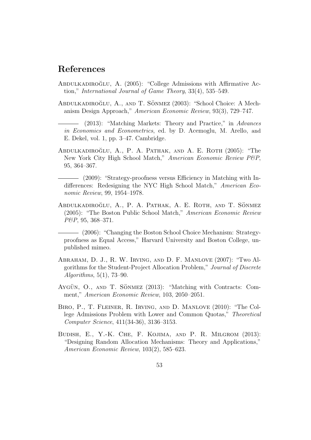## References

- ABDULKADIROĞLU, A. (2005): "College Admissions with Affirmative Action," International Journal of Game Theory, 33(4), 535–549.
- ABDULKADIROĞLU, A., AND T. SÖNMEZ (2003): "School Choice: A Mechanism Design Approach," American Economic Review, 93(3), 729–747.
	- (2013): "Matching Markets: Theory and Practice," in Advances in Economics and Econometrics, ed. by D. Acemoglu, M. Arello, and E. Dekel, vol. 1, pp. 3–47. Cambridge.
- ABDULKADIROĞLU, A., P. A. PATHAK, AND A. E. ROTH (2005): "The New York City High School Match," American Economic Review P&P, 95, 364–367.

(2009): "Strategy-proofness versus Efficiency in Matching with Indifferences: Redesigning the NYC High School Match," American Economic Review, 99, 1954–1978.

ABDULKADIROĞLU, A., P. A. PATHAK, A. E. ROTH, AND T. SÖNMEZ (2005): "The Boston Public School Match," American Economic Review P&P, 95, 368–371.

(2006): "Changing the Boston School Choice Mechanism: Strategyproofness as Equal Access," Harvard University and Boston College, unpublished mimeo.

- Abraham, D. J., R. W. Irving, and D. F. Manlove (2007): "Two Algorithms for the Student-Project Allocation Problem," Journal of Discrete Algorithms, 5(1), 73–90.
- AYGÜN, O., AND T. SÖNMEZ  $(2013)$ : "Matching with Contracts: Comment," American Economic Review, 103, 2050–2051.
- Biro, P., T. Fleiner, R. Irving, and D. Manlove (2010): "The College Admissions Problem with Lower and Common Quotas," Theoretical Computer Science, 411(34-36), 3136–3153.
- Budish, E., Y.-K. Che, F. Kojima, and P. R. Milgrom (2013): "Designing Random Allocation Mechanisms: Theory and Applications," American Economic Review, 103(2), 585–623.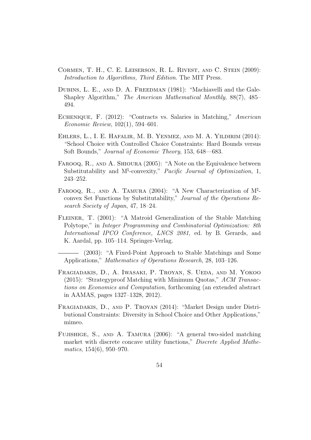- Cormen, T. H., C. E. Leiserson, R. L. Rivest, and C. Stein (2009): Introduction to Algorithms, Third Edition. The MIT Press.
- DUBINS, L. E., AND D. A. FREEDMAN (1981): "Machiavelli and the Gale-Shapley Algorithm," The American Mathematical Monthly, 88(7), 485– 494.
- ECHENIQUE, F. (2012): "Contracts vs. Salaries in Matching," American Economic Review, 102(1), 594–601.
- Ehlers, L., I. E. Hafalir, M. B. Yenmez, and M. A. Yildirim (2014): "School Choice with Controlled Choice Constraints: Hard Bounds versus Soft Bounds," Journal of Economic Theory, 153, 648—683.
- FAROOQ, R., AND A. SHIOURA (2005): "A Note on the Equivalence between Substitutability and  $M^{\natural}$ -convexity," Pacific Journal of Optimization, 1, 243–252.
- FAROOQ, R., AND A. TAMURA (2004): "A New Characterization of M<sup><sup>1</sup>-</sup> convex Set Functions by Substitutability," Journal of the Operations Research Society of Japan, 47, 18–24.
- Fleiner, T. (2001): "A Matroid Generalization of the Stable Matching Polytope," in Integer Programming and Combinatorial Optimization: 8th International IPCO Conference, LNCS 2081, ed. by B. Gerards, and K. Aardal, pp. 105–114. Springer-Verlag.

(2003): "A Fixed-Point Approach to Stable Matchings and Some Applications," Mathematics of Operations Research, 28, 103–126.

- Fragiadakis, D., A. Iwasaki, P. Troyan, S. Ueda, and M. Yokoo (2015): "Strategyproof Matching with Minimum Quotas," ACM Transactions on Economics and Computation, forthcoming (an extended abstract in AAMAS, pages 1327–1328, 2012).
- Fragiadakis, D., and P. Troyan (2014): "Market Design under Distributional Constraints: Diversity in School Choice and Other Applications," mimeo.
- Fujishige, S., and A. Tamura (2006): "A general two-sided matching market with discrete concave utility functions," Discrete Applied Mathematics, 154(6), 950–970.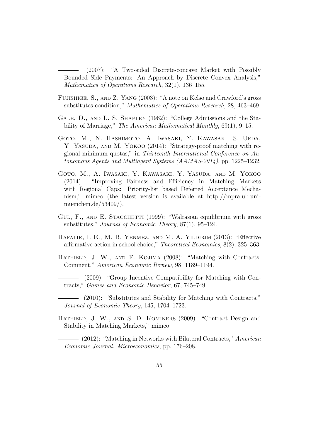(2007): "A Two-sided Discrete-concave Market with Possibly Bounded Side Payments: An Approach by Discrete Convex Analysis," Mathematics of Operations Research, 32(1), 136–155.

- Fujishige, S., and Z. Yang (2003): "A note on Kelso and Crawford's gross substitutes condition," Mathematics of Operations Research, 28, 463–469.
- Gale, D., and L. S. Shapley (1962): "College Admissions and the Stability of Marriage," The American Mathematical Monthly, 69(1), 9–15.
- Goto, M., N. Hashimoto, A. Iwasaki, Y. Kawasaki, S. Ueda, Y. YASUDA, AND M. YOKOO (2014): "Strategy-proof matching with regional minimum quotas," in Thirteenth International Conference on Autonomous Agents and Multiagent Systems (AAMAS-2014), pp. 1225–1232.
- Goto, M., A. Iwasaki, Y. Kawasaki, Y. Yasuda, and M. Yokoo (2014): "Improving Fairness and Efficiency in Matching Markets with Regional Caps: Priority-list based Deferred Acceptance Mechanism," mimeo (the latest version is available at http://mpra.ub.unimuenchen.de/53409/).
- GUL, F., AND E. STACCHETTI (1999): "Walrasian equilibrium with gross substitutes," Journal of Economic Theory, 87(1), 95–124.
- Hafalir, I. E., M. B. Yenmez, and M. A. Yildirim (2013): "Effective affirmative action in school choice," Theoretical Economics, 8(2), 325–363.
- HATFIELD, J. W., AND F. KOJIMA (2008): "Matching with Contracts: Comment," American Economic Review, 98, 1189–1194.
- (2009): "Group Incentive Compatibility for Matching with Contracts," Games and Economic Behavior, 67, 745–749.

(2010): "Substitutes and Stability for Matching with Contracts," Journal of Economic Theory, 145, 1704–1723.

HATFIELD, J. W., AND S. D. KOMINERS (2009): "Contract Design and Stability in Matching Markets," mimeo.

(2012): "Matching in Networks with Bilateral Contracts," American Economic Journal: Microeconomics, pp. 176–208.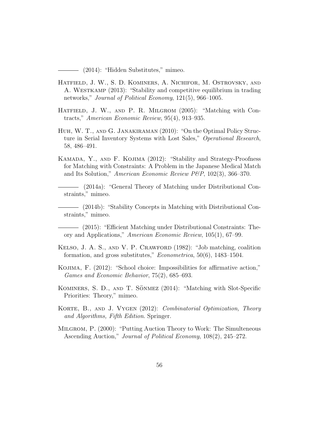(2014): "Hidden Substitutes," mimeo.

- Hatfield, J. W., S. D. Kominers, A. Nichifor, M. Ostrovsky, and A. WESTKAMP (2013): "Stability and competitive equilibrium in trading networks," Journal of Political Economy, 121(5), 966–1005.
- HATFIELD, J. W., AND P. R. MILGROM (2005): "Matching with Contracts," American Economic Review, 95(4), 913–935.
- Huh, W. T., and G. Janakiraman (2010): "On the Optimal Policy Structure in Serial Inventory Systems with Lost Sales," Operational Research, 58, 486–491.
- Kamada, Y., and F. Kojima (2012): "Stability and Strategy-Proofness for Matching with Constraints: A Problem in the Japanese Medical Match and Its Solution," American Economic Review P&P, 102(3), 366–370.
- (2014a): "General Theory of Matching under Distributional Constraints," mimeo.
- (2014b): "Stability Concepts in Matching with Distributional Constraints," mimeo.
- (2015): "Efficient Matching under Distributional Constraints: Theory and Applications," American Economic Review, 105(1), 67–99.
- Kelso, J. A. S., and V. P. Crawford (1982): "Job matching, coalition formation, and gross substitutes," Econometrica, 50(6), 1483–1504.
- Kojima, F. (2012): "School choice: Impossibilities for affirmative action," Games and Economic Behavior, 75(2), 685–693.
- KOMINERS, S. D., AND T. SÖNMEZ (2014): "Matching with Slot-Specific Priorities: Theory," mimeo.
- KORTE, B., AND J. VYGEN (2012): *Combinatorial Optimization*, *Theory* and Algorithms, Fifth Edition. Springer.
- Milgrom, P. (2000): "Putting Auction Theory to Work: The Simulteneous Ascending Auction," Journal of Political Economy, 108(2), 245–272.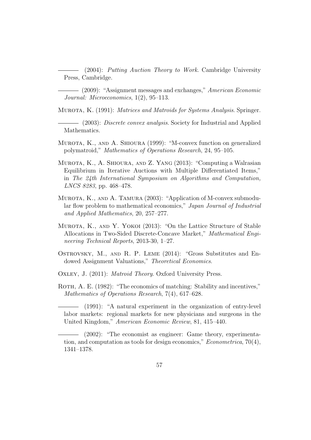(2004): Putting Auction Theory to Work. Cambridge University Press, Cambridge.

(2009): "Assignment messages and exchanges," American Economic Journal: Microeconomics, 1(2), 95–113.

MUROTA, K. (1991): *Matrices and Matroids for Systems Analysis*. Springer.

(2003): Discrete convex analysis. Society for Industrial and Applied Mathematics.

- Murota, K., and A. Shioura (1999): "M-convex function on generalized polymatroid," Mathematics of Operations Research, 24, 95–105.
- Murota, K., A. Shioura, and Z. Yang (2013): "Computing a Walrasian Equilibrium in Iterative Auctions with Multiple Differentiated Items," in The 24th International Symposium on Algorithms and Computation, LNCS 8283, pp. 468–478.
- MUROTA, K., AND A. TAMURA (2003): "Application of M-convex submodular flow problem to mathematical economics," Japan Journal of Industrial and Applied Mathematics, 20, 257–277.
- MUROTA, K., AND Y. YOKOI (2013): "On the Lattice Structure of Stable Allocations in Two-Sided Discrete-Concave Market," Mathematical Engineering Technical Reports, 2013-30, 1–27.
- Ostrovsky, M., and R. P. Leme (2014): "Gross Substitutes and Endowed Assignment Valuations," Theoretical Economics.

Oxley, J. (2011): Matroid Theory. Oxford University Press.

ROTH, A. E. (1982): "The economics of matching: Stability and incentives," Mathematics of Operations Research, 7(4), 617–628.

(1991): "A natural experiment in the organization of entry-level labor markets: regional markets for new physicians and surgeons in the United Kingdom," American Economic Review, 81, 415–440.

(2002): "The economist as engineer: Game theory, experimentation, and computation as tools for design economics,"  $Econometrica$ , 70(4), 1341–1378.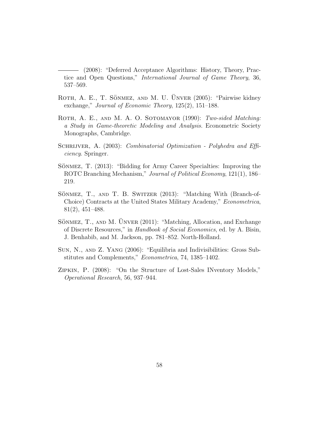(2008): "Deferred Acceptance Algorithms: History, Theory, Practice and Open Questions," International Journal of Game Theory, 36, 537–569.

- ROTH, A. E., T. SÖNMEZ, AND M. U. ÜNVER (2005): "Pairwise kidney exchange," Journal of Economic Theory, 125(2), 151–188.
- ROTH, A. E., AND M. A. O. SOTOMAYOR (1990): Two-sided Matching: a Study in Game-theoretic Modeling and Analysis. Econometric Society Monographs, Cambridge.
- SCHRIJVER, A. (2003): Combinatorial Optimization Polyhedra and Efficiency. Springer.
- SÖNMEZ, T. (2013): "Bidding for Army Career Specialties: Improving the ROTC Branching Mechanism," Journal of Political Economy, 121(1), 186– 219.
- SÖNMEZ, T., AND T. B. SWITZER (2013): "Matching With (Branch-of-Choice) Contracts at the United States Military Academy," Econometrica, 81(2), 451–488.
- SÖNMEZ, T., AND M. ÜNVER  $(2011)$ : "Matching, Allocation, and Exchange of Discrete Resources," in Handbook of Social Economics, ed. by A. Bisin, J. Benhabib, and M. Jackson, pp. 781–852. North-Holland.
- Sun, N., and Z. Yang (2006): "Equilibria and Indivisibilities: Gross Substitutes and Complements," Econometrica, 74, 1385–1402.
- Zipkin, P. (2008): "On the Structure of Lost-Sales INventory Models," Operational Research, 56, 937–944.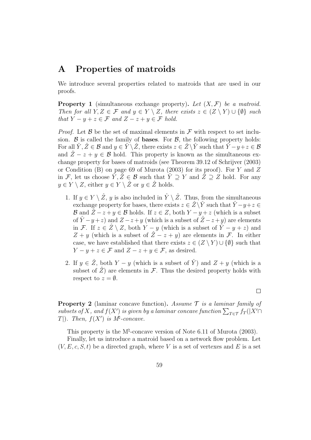## A Properties of matroids

We introduce several properties related to matroids that are used in our proofs.

**Property 1** (simultaneous exchange property). Let  $(X, \mathcal{F})$  be a matroid. Then for all  $Y, Z \in \mathcal{F}$  and  $y \in Y \setminus Z$ , there exists  $z \in (Z \setminus Y) \cup \{\emptyset\}$  such that  $Y - y + z \in \mathcal{F}$  and  $Z - z + y \in \mathcal{F}$  hold.

*Proof.* Let  $\beta$  be the set of maximal elements in  $\mathcal F$  with respect to set inclusion.  $\beta$  is called the family of **bases**. For  $\beta$ , the following property holds: For all  $\hat{Y}, \hat{Z} \in \mathcal{B}$  and  $y \in \hat{Y} \setminus \hat{Z}$ , there exists  $z \in \hat{Z} \setminus \hat{Y}$  such that  $\hat{Y} - y + z \in \mathcal{B}$ and  $\hat{Z} - z + y \in \mathcal{B}$  hold. This property is known as the simultaneous exchange property for bases of matroids (see Theorem 39.12 of Schrijver (2003) or Condition (B) on page 69 of Murota (2003) for its proof). For Y and Z in F, let us choose  $\hat{Y}, \hat{Z} \in \mathcal{B}$  such that  $\hat{Y} \supseteq Y$  and  $\hat{Z} \supseteq Z$  hold. For any  $y \in Y \setminus Z$ , either  $y \in Y \setminus \hat{Z}$  or  $y \in \hat{Z}$  holds.

- 1. If  $y \in Y \setminus \hat{Z}$ , y is also included in  $\hat{Y} \setminus \hat{Z}$ . Thus, from the simultaneous exchange property for bases, there exists  $z \in \hat{Z}\backslash \hat{Y}$  such that  $\hat{Y}-y+z \in \hat{Z}$ B and  $\hat{Z} - z + y \in \mathcal{B}$  holds. If  $z \in Z$ , both  $Y - y + z$  (which is a subset of  $\hat{Y} - y + z$ ) and  $Z - z + y$  (which is a subset of  $\hat{Z} - z + y$ ) are elements in F. If  $z \in \hat{Z} \setminus Z$ , both  $Y - y$  (which is a subset of  $\hat{Y} - y + z$ ) and  $Z + y$  (which is a subset of  $Z - z + y$ ) are elements in F. In either case, we have established that there exists  $z \in (Z \setminus Y) \cup \{\emptyset\}$  such that  $Y - y + z \in \mathcal{F}$  and  $Z - z + y \in \mathcal{F}$ , as desired.
- 2. If  $y \in \hat{Z}$ , both  $Y y$  (which is a subset of  $\hat{Y}$ ) and  $Z + y$  (which is a subset of  $\hat{Z}$ ) are elements in  $\mathcal{F}$ . Thus the desired property holds with respect to  $z = \emptyset$ .

 $\Box$ 

**Property 2** (laminar concave function). Assume  $\mathcal{T}$  is a laminar family of subsets of X, and  $f(X')$  is given by a laminar concave function  $\sum_{T \in \mathcal{T}} f_T(|X'| \cap$ T|). Then,  $f(X')$  is  $M^{\sharp}$ -concave.

This property is the  $M^{\natural}$ -concave version of Note 6.11 of Murota (2003).

Finally, let us introduce a matroid based on a network flow problem. Let  $(V, E, c, S, t)$  be a directed graph, where V is a set of vertexes and E is a set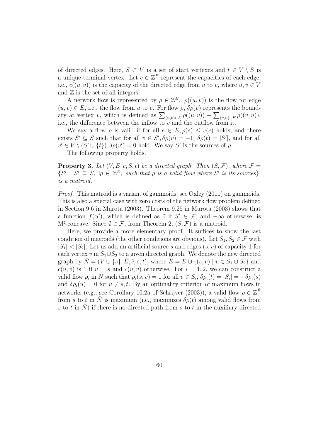of directed edges. Here,  $S \subset V$  is a set of start vertexes and  $t \in V \setminus S$  is a unique terminal vertex. Let  $c \in \mathbb{Z}^E$  represent the capacities of each edge, i.e.,  $c((u, v))$  is the capacity of the directed edge from u to v, where  $u, v \in V$ and  $\mathbb Z$  is the set of all integers.

A network flow is represented by  $\rho \in \mathbb{Z}^E$ .  $\rho((u, v))$  is the flow for edge  $(u, v) \in E$ , i.e., the flow from u to v. For flow  $\rho$ ,  $\delta \rho(v)$  represents the boundary at vertex v, which is defined as  $\sum_{(u,v)\in E} \rho((u,v)) - \sum_{(v,u)\in E} \rho((v,u)),$ i.e., the difference between the inflow to  $v$  and the outflow from it.

We say a flow  $\rho$  is valid if for all  $e \in E$ ,  $\rho(e) \leq c(e)$  holds, and there exists  $S' \subseteq S$  such that for all  $v \in S', \delta \rho(v) = -1, \delta \rho(t) = |S'|$ , and for all  $v' \in V \setminus (S' \cup \{t\}), \delta \rho(v') = 0$  hold. We say S' is the sources of  $\rho$ .

The following property holds.

**Property 3.** Let  $(V, E, c, S, t)$  be a directed graph. Then  $(S, \mathcal{F})$ , where  $\mathcal{F} =$  $\{S' \mid S' \subseteq S, \exists \rho \in \mathbb{Z}^E, \text{ such that } \rho \text{ is a valid flow where } S' \text{ is its sources}\},\$ is a matroid.

Proof. This matroid is a variant of gammoids; see Oxley (2011) on gammoids. This is also a special case with zero costs of the network flow problem defined in Section 9.6 in Murota (2003). Theorem 9.26 in Murota (2003) shows that a function  $f(S')$ , which is defined as 0 if  $S' \in \mathcal{F}$ , and  $-\infty$  otherwise, is  $M^{\natural}$ -concave. Since  $\emptyset \in \mathcal{F}$ , from Theorem 2,  $(S, \mathcal{F})$  is a matroid.

Here, we provide a more elementary proof. It suffices to show the last condition of matroids (the other conditions are obvious). Let  $S_1, S_2 \in \mathcal{F}$  with  $|S_1| < |S_2|$ . Let us add an artificial source s and edges  $(s, v)$  of capacity 1 for each vertex v in  $S_1 \cup S_2$  to a given directed graph. We denote the new directed graph by  $\hat{N} = (V \cup \{s\}, \hat{E}, \hat{c}, s, t)$ , where  $\hat{E} = E \cup \{(s, v) \mid v \in S_1 \cup S_2\}$  and  $\tilde{c}(u, v)$  is 1 if  $u = s$  and  $c(u, v)$  otherwise. For  $i = 1, 2$ , we can construct a valid flow  $\rho_i$  in  $\hat{N}$  such that  $\rho_i(s, v) = 1$  for all  $v \in S_i$ ,  $\delta \rho_i(t) = |S_i| = -\delta \rho_i(s)$ and  $\delta \rho_i(u) = 0$  for  $u \neq s, t$ . By an optimality criterion of maximum flows in networks (e.g., see Corollary 10.2a of Schrijver (2003)), a valid flow  $\rho \in \mathbb{Z}^{\hat{E}}$ from s to t in  $\hat{N}$  is maximum (i.e., maximizes  $\delta \rho(t)$  among valid flows from s to t in  $\hat{N}$ ) if there is no directed path from s to t in the auxiliary directed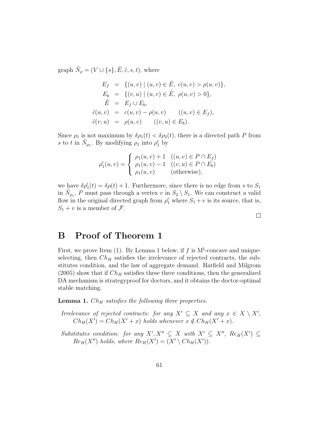graph  $\tilde{N}_{\rho} = (V \cup \{s\}, \tilde{E}, \tilde{c}, s, t)$ , where

$$
E_f = \{(u, v) \mid (u, v) \in \hat{E}, c(u, v) > \rho(u, v)\},
$$
  
\n
$$
E_b = \{(v, u) \mid (u, v) \in \hat{E}, \rho(u, v) > 0\},
$$
  
\n
$$
\tilde{E} = E_f \cup E_b,
$$
  
\n
$$
\tilde{c}(u, v) = c(u, v) - \rho(u, v) \quad ((u, v) \in E_f),
$$
  
\n
$$
\tilde{c}(v, u) = \rho(u, v) \quad ((v, u) \in E_b).
$$

Since  $\rho_1$  is not maximum by  $\delta \rho_1(t) < \delta \rho_2(t)$ , there is a directed path P from s to t in  $\tilde{N}_{\rho_1}$ . By modifying  $\rho_1$  into  $\rho'_1$  by

$$
\rho'_1(u, v) = \begin{cases} \rho_1(u, v) + 1 & ((u, v) \in P \cap E_f) \\ \rho_1(u, v) - 1 & ((v, u) \in P \cap E_b) \\ \rho_1(u, v) & (\text{otherwise}), \end{cases}
$$

we have  $\delta \rho'_1(t) = \delta \rho(t) + 1$ . Furthermore, since there is no edge from s to  $S_1$ in  $\tilde{N}_{\rho_1}$ , P must pass through a vertex v in  $S_2 \setminus S_1$ . We can construct a valid flow in the original directed graph from  $\rho'_1$  where  $S_1 + v$  is its source, that is,  $S_1 + v$  is a member of  $\mathcal{F}$ .

 $\Box$ 

## B Proof of Theorem 1

First, we prove Item (1). By Lemma 1 below, if f is  $M^{\natural}$ -concave and uniqueselecting, then  $Ch_H$  satisfies the irrelevance of rejected contracts, the substitutes condition, and the law of aggregate demand. Hatfield and Milgrom  $(2005)$  show that if  $Ch_H$  satisfies these three conditions, then the generalized DA mechanism is strategyproof for doctors, and it obtains the doctor-optimal stable matching.

**Lemma 1.**  $Ch_H$  satisfies the following three properties.

Irrelevance of rejected contracts: for any  $X' \subseteq X$  and any  $x \in X \setminus X'$ ,  $Ch_H(X') = Ch_H(X'+x)$  holds whenever  $x \notin Ch_H(X'+x)$ .

Substitutes condition: for any  $X', X'' \subseteq X$  with  $X' \subseteq X''$ ,  $Re_H(X') \subseteq$  $Re_H(X'')$  holds, where  $Re_H(X') = (X' \setminus Ch_H(X'))$ .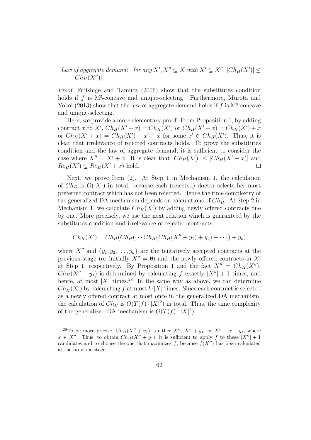Law of aggregate demand: for any  $X', X'' \subseteq X$  with  $X' \subseteq X''$ ,  $|Ch_H(X')| \leq$  $|Ch_H(X'')|$ .

Proof. Fujishige and Tamura (2006) show that the substitutes condition holds if  $f$  is  $M^{\sharp}$ -concave and unique-selecting. Furthermore, Murota and Yokoi (2013) show that the law of aggregate demand holds if  $f$  is  $M^{\natural}$ -concave and unique-selecting.

Here, we provide a more elementary proof. From Proposition 1, by adding contract x to X',  $Ch_H(X'+x) = Ch_H(X')$  or  $Ch_H(X'+x) = Ch_H(X') + x$ or  $Ch_H(X'+x) = Ch_H(X') - x' + x$  for some  $x' \in Ch_H(X')$ . Thus, it is clear that irrelevance of rejected contracts holds. To prove the substitutes condition and the law of aggregate demand, it is sufficient to consider the case where  $X'' = X' + x$ . It is clear that  $|Ch_H(X')| \leq |Ch_H(X' + x)|$  and  $Re_H(X') \subseteq Re_H(X'+x)$  hold.  $\Box$ 

Next, we prove Item (2). At Step 1 in Mechanism 1, the calculation of  $Ch_D$  is  $O(|X|)$  in total, because each (rejected) doctor selects her most preferred contract which has not been rejected. Hence the time complexity of the generalized DA mechanism depends on calculations of  $Ch_H$ . At Step 2 in Mechanism 1, we calculate  $Ch_H(X')$  by adding newly offered contracts one by one. More precisely, we use the next relation which is guaranteed by the substitutes condition and irrelevance of rejected contracts,

$$
Ch_H(X') = Ch_H(Ch_H(\cdots Ch_H(Ch_H(X''+y_1)+y_2)+\cdots)+y_k)
$$

where  $X''$  and  $\{y_1, y_2, \ldots, y_k\}$  are the tentatively accepted contracts at the previous stage (or initially  $X'' = \emptyset$ ) and the newly offered contracts in  $X'$ at Step 1, respectively. By Proposition 1 and the fact  $X'' = Ch_H(X'')$ ,  $Ch_H(X'' + y_1)$  is determined by calculating f exactly  $|X''| + 1$  times, and hence, at most  $|X|$  times.<sup>28</sup> In the same way as above, we can determine  $Ch_H(X')$  by calculating f at most  $k\cdot |X|$  times. Since each contract is selected as a newly offered contract at most once in the generalized DA mechanism, the calculation of  $Ch_H$  is  $O(T(f) \cdot |X|^2)$  in total. Thus, the time complexity of the generalized DA mechanism is  $O(T(f) \cdot |X|^2)$ .

<sup>&</sup>lt;sup>28</sup>To be more precise,  $Ch_H(X'' + y_1)$  is either  $X''$ ,  $X'' + y_1$ , or  $X'' - x + y_1$ , where  $x \in X''$ . Thus, to obtain  $Ch_H(X'' + y_1)$ , it is sufficient to apply f to these  $|X''| + 1$ candidates and to choose the one that maximizes f, because  $f(X'')$  has been calculated at the previous stage.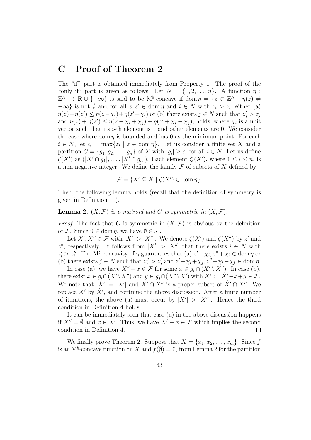## C Proof of Theorem 2

The "if" part is obtained immediately from Property 1. The proof of the "only if" part is given as follows. Let  $N = \{1, 2, ..., n\}$ . A function  $\eta$ :  $\mathbb{Z}^N \to \mathbb{R} \cup \{-\infty\}$  is said to be M<sup> $\sharp$ </sup>-concave if dom  $\eta = \{z \in \mathbb{Z}^N \mid \eta(z) \neq 0\}$  $-\infty$ } is not Ø and for all  $z, z' \in \text{dom } \eta$  and  $i \in N$  with  $z_i > z'_i$ , either (a)  $\eta(z)+\eta(z') \leq \eta(z-\chi_i)+\eta(z'+\chi_i)$  or (b) there exists  $j \in N$  such that  $z'_j > z_j$ and  $\eta(z) + \eta(z') \leq \eta(z - \chi_i + \chi_j) + \eta(z' + \chi_i - \chi_j)$ , holds, where  $\chi_i$  is a unit vector such that its *i*-th element is 1 and other elements are 0. We consider the case where dom  $\eta$  is bounded and has 0 as the minimum point. For each  $i \in N$ , let  $c_i = \max\{z_i \mid z \in \text{dom } \eta\}$ . Let us consider a finite set X and a partition  $G = \{g_1, g_2, \ldots, g_n\}$  of X with  $|g_i| \ge c_i$  for all  $i \in N$ . Let us define  $\zeta(X')$  as  $(|X' \cap g_1|, \ldots, |X' \cap g_n|)$ . Each element  $\zeta_i(X')$ , where  $1 \leq i \leq n$ , is a non-negative integer. We define the family  $\mathcal F$  of subsets of  $X$  defined by

$$
\mathcal{F} = \{ X' \subseteq X \mid \zeta(X') \in \text{dom}\,\eta \}.
$$

Then, the following lemma holds (recall that the definition of symmetry is given in Definition 11).

**Lemma 2.**  $(X, \mathcal{F})$  is a matroid and G is symmetric in  $(X, \mathcal{F})$ .

*Proof.* The fact that G is symmetric in  $(X, \mathcal{F})$  is obvious by the definition of F. Since  $0 \in \text{dom } \eta$ , we have  $\emptyset \in \mathcal{F}$ .

Let  $X', X'' \in \mathcal{F}$  with  $|X'| > |X''|$ . We denote  $\zeta(X')$  and  $\zeta(X'')$  by z' and z'', respectively. It follows from  $|X'| > |X''|$  that there exists  $i \in N$  with  $z_i' > z_i''$ . The M<sup>†</sup>-concavity of  $\eta$  guarantees that (a)  $z' - \chi_i$ ,  $z'' + \chi_i \in \text{dom } \eta$  or i (b) there exists  $j \in N$  such that  $z_j'' > z_j'$  and  $z' - \chi_i + \chi_j, z'' + \chi_i - \chi_j \in \text{dom } \eta$ .

In case (a), we have  $X'' + x \in \mathcal{F}$  for some  $x \in g_i \cap (X' \setminus X'')$ . In case (b), there exist  $x \in g_i \cap (X' \setminus X'')$  and  $y \in g_j \cap (X'' \setminus X')$  with  $\hat{X}' := X' - x + y \in \mathcal{F}$ . We note that  $|\hat{X}'| = |X'|$  and  $X' \cap X''$  is a proper subset of  $\hat{X}' \cap X''$ . We replace  $X'$  by  $\hat{X}'$ , and continue the above discussion. After a finite number of iterations, the above (a) must occur by  $|X'| > |X''|$ . Hence the third condition in Definition 4 holds.

It can be immediately seen that case (a) in the above discussion happens if  $X'' = \emptyset$  and  $x \in X'$ . Thus, we have  $X' - x \in \mathcal{F}$  which implies the second condition in Definition 4.  $\Box$ 

We finally prove Theorem 2. Suppose that  $X = \{x_1, x_2, \ldots, x_m\}$ . Since f is an  $M^{\natural}$ -concave function on X and  $f(\emptyset) = 0$ , from Lemma 2 for the partition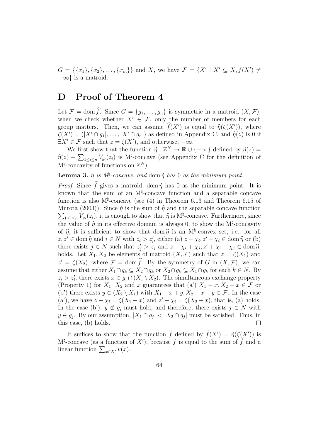$G = \{\{x_1\}, \{x_2\}, \ldots, \{x_m\}\}\$ and X, we have  $\mathcal{F} = \{X' \mid X' \subseteq X, f(X') \neq \emptyset\}$  $-\infty$ } is a matroid.

## D Proof of Theorem 4

Let  $\mathcal{F} = \text{dom }\widehat{f}$ . Since  $G = \{g_1, \ldots, g_n\}$  is symmetric in a matroid  $(X, \mathcal{F})$ , when we check whether  $X' \in \mathcal{F}$ , only the number of members for each group matters. Then, we can assume  $f(X')$  is equal to  $\hat{\eta}(\zeta(X'))$ , where  $\zeta(X') = (|X' \cap g_1|, \ldots, |X' \cap g_n|)$  as defined in Appendix C, and  $\hat{\eta}(z)$  is 0 if  $\exists X' \in \mathcal{F}$  such that  $z = \zeta(X')$ , and otherwise,  $-\infty$ .

We first show that the function  $\hat{\eta}: \mathbb{Z}^N \to \mathbb{R} \cup \{-\infty\}$  defined by  $\hat{\eta}(z) =$  $\widehat{\eta}(z) + \sum_{1 \leq i \leq n} V_{g_i}(z_i)$  is  $M^{\natural}$ -concave (see Appendix C for the definition of  $M^{\natural}$ -concavity of functions on  $\mathbb{Z}^N$ ).

### **Lemma 3.**  $\eta$  is  $M^{\sharp}$ -concave, and dom  $\eta$  has 0 as the minimum point.

*Proof.* Since  $\hat{f}$  gives a matroid, dom  $\hat{\eta}$  has 0 as the minimum point. It is known that the sum of an M<sup>\dert</sup>-concave function and a separable concave function is also  $M^{\natural}$ -concave (see (4) in Theorem 6.13 and Theorem 6.15 of Murota (2003)). Since  $\hat{\eta}$  is the sum of  $\hat{\eta}$  and the separable concave function  $\sum_{1 \leq i \leq n} V_{g_i}(z_i)$ , it is enough to show that  $\hat{\eta}$  is  $M^{\natural}$ -concave. Furthermore, since the value of  $\hat{\eta}$  in its effective domain is always 0, to show the M<sup>t</sup>-concavity of  $\hat{\eta}$ , it is sufficient to show that dom  $\hat{\eta}$  is an M<sup>‡</sup>-convex set, i.e., for all  $z, z' \in \text{dom } \widehat{\eta} \text{ and } i \in N \text{ with } z_i > z'_i \text{, either (a) } z - \chi_i, z' + \chi_i \in \text{dom } \widehat{\eta} \text{ or (b)}$ there exists  $j \in N$  such that  $z'_j > z_j$  and  $z - \chi_i + \chi_j, z' + \chi_i - \chi_j \in \text{dom} \widehat{\eta}$ , holds. Let  $X_1, X_2$  be elements of matroid  $(X, \mathcal{F})$  such that  $z = \zeta(X_1)$  and  $z' = \zeta(X_2)$ , where  $\mathcal{F} = \text{dom } \widehat{f}$ . By the symmetry of G in  $(X, \mathcal{F})$ , we can assume that either  $X_1 \cap g_k \subseteq X_2 \cap g_k$  or  $X_2 \cap g_k \subseteq X_1 \cap g_k$  for each  $k \in N$ . By  $z_i > z'_i$ , there exists  $x \in g_i \cap (X_1 \setminus X_2)$ . The simultaneous exchange property (Property 1) for  $X_1, X_2$  and x guarantees that (a')  $X_1 - x, X_2 + x \in \mathcal{F}$  or (b') there exists  $y \in (X_2 \setminus X_1)$  with  $X_1 - x + y$ ,  $X_2 + x - y \in \mathcal{F}$ . In the case (a'), we have  $z - \chi_i = \zeta(X_1 - x)$  and  $z' + \chi_i = \zeta(X_2 + x)$ , that is, (a) holds. In the case (b'),  $y \notin g_i$  must hold, and therefore, there exists  $j \in N$  with  $y \in g_j$ . By our assumption,  $|X_1 \cap g_j|$  <  $|X_2 \cap g_j|$  must be satisfied. Thus, in this case, (b) holds. П

It suffices to show that the function  $\hat{f}$  defined by  $\hat{f}(X') = \hat{\eta}(\zeta(X'))$  is  $M^{\natural}$ -concave (as a function of X'), because f is equal to the sum of f and a linear function  $\sum_{x \in X'} v(x)$ .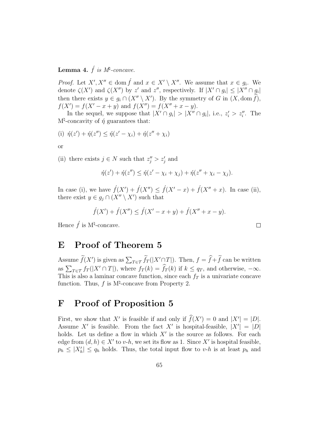### Lemma 4.  $\acute{f}$  is  $M^{\natural}$ -concave.

*Proof.* Let  $X', X'' \in \text{dom } f$  and  $x \in X' \setminus X''$ . We assume that  $x \in g_i$ . We denote  $\zeta(X')$  and  $\zeta(X'')$  by z' and z'', respectively. If  $|X' \cap g_i| \leq |X'' \cap g_i|$ then there exists  $y \in g_i \cap (X'' \setminus X')$ . By the symmetry of G in  $(X, \text{dom } f)$ ,  $f(X') = f(X' - x + y)$  and  $f(X'') = f(X'' + x - y)$ .

In the sequel, we suppose that  $|X' \cap g_i| > |X'' \cap g_i|$ , i.e.,  $z'_i > z''_i$ . The  $M^{\sharp}$ -concavity of  $\eta$  guarantees that:

(i) 
$$
\acute{\eta}(z') + \acute{\eta}(z'') \leq \acute{\eta}(z' - \chi_i) + \acute{\eta}(z'' + \chi_i)
$$

or

(ii) there exists  $j \in N$  such that  $z''_j > z'_j$  and

$$
\acute{\eta}(z') + \acute{\eta}(z'') \leq \acute{\eta}(z' - \chi_i + \chi_j) + \acute{\eta}(z'' + \chi_i - \chi_j).
$$

 $\Box$ 

In case (i), we have  $\hat{f}(X') + \hat{f}(X'') \leq \hat{f}(X' - x) + \hat{f}(X'' + x)$ . In case (ii), there exist  $y \in g_j \cap (X'' \setminus X')$  such that

$$
f(X') + f(X'') \le f(X' - x + y) + f(X'' + x - y).
$$

Hence  $\hat{f}$  is M<sup>t</sup>-concave.

## E Proof of Theorem 5

Assume  $\widetilde{f}(X')$  is given as  $\sum_{T \in \mathcal{T}} \widetilde{f}_T(|X' \cap T|)$ . Then,  $f = \widehat{f} + \widetilde{f}$  can be written as  $\sum_{T \in \mathcal{T}} f_T(|X' \cap T|)$ , where  $f_T(k) = \hat{f}_T(k)$  if  $k \le q_T$ , and otherwise,  $-\infty$ . This is also a laminar concave function, since each  $f<sub>T</sub>$  is a univariate concave function. Thus,  $f$  is  $M^{\natural}$ -concave from Property 2.

## F Proof of Proposition 5

First, we show that X' is feasible if and only if  $\hat{f}(X') = 0$  and  $|X'| = |D|$ . Assume X' is feasible. From the fact X' is hospital-feasible,  $|X'| = |D|$ holds. Let us define a flow in which  $X'$  is the source as follows. For each edge from  $(d, h) \in X'$  to v-h, we set its flow as 1. Since X' is hospital feasible,  $p_h \leq |X'_h| \leq q_h$  holds. Thus, the total input flow to v-h is at least  $p_h$  and